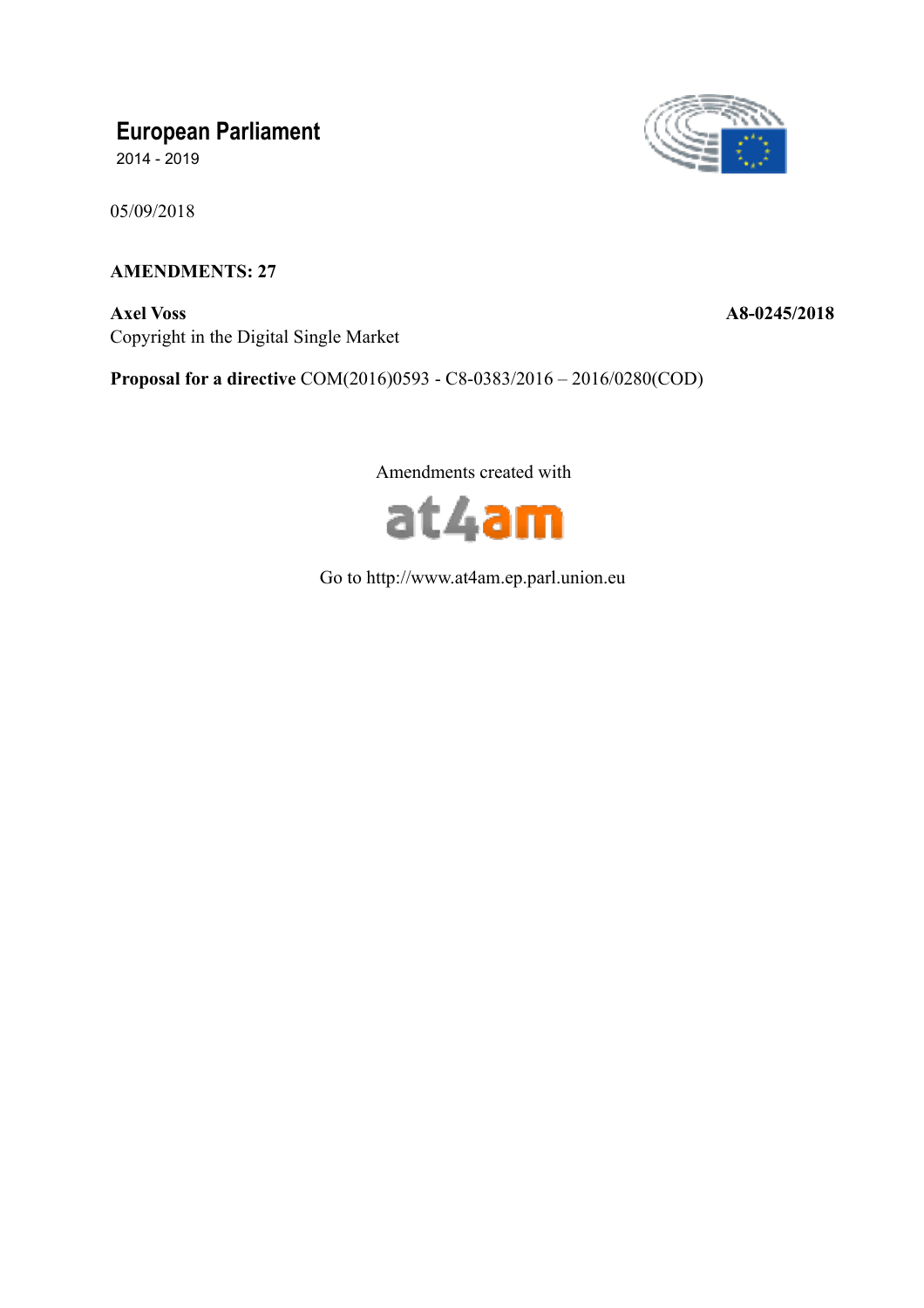# **European Parliament**

2014 - 2019

05/09/2018

# **AMENDMENTS: 27**

**Axel Voss A8-0245/2018**  Copyright in the Digital Single Market



**Proposal for a directive** COM(2016)0593 - C8-0383/2016 – 2016/0280(COD)

Amendments created with



Go to http://www.at4am.ep.parl.union.eu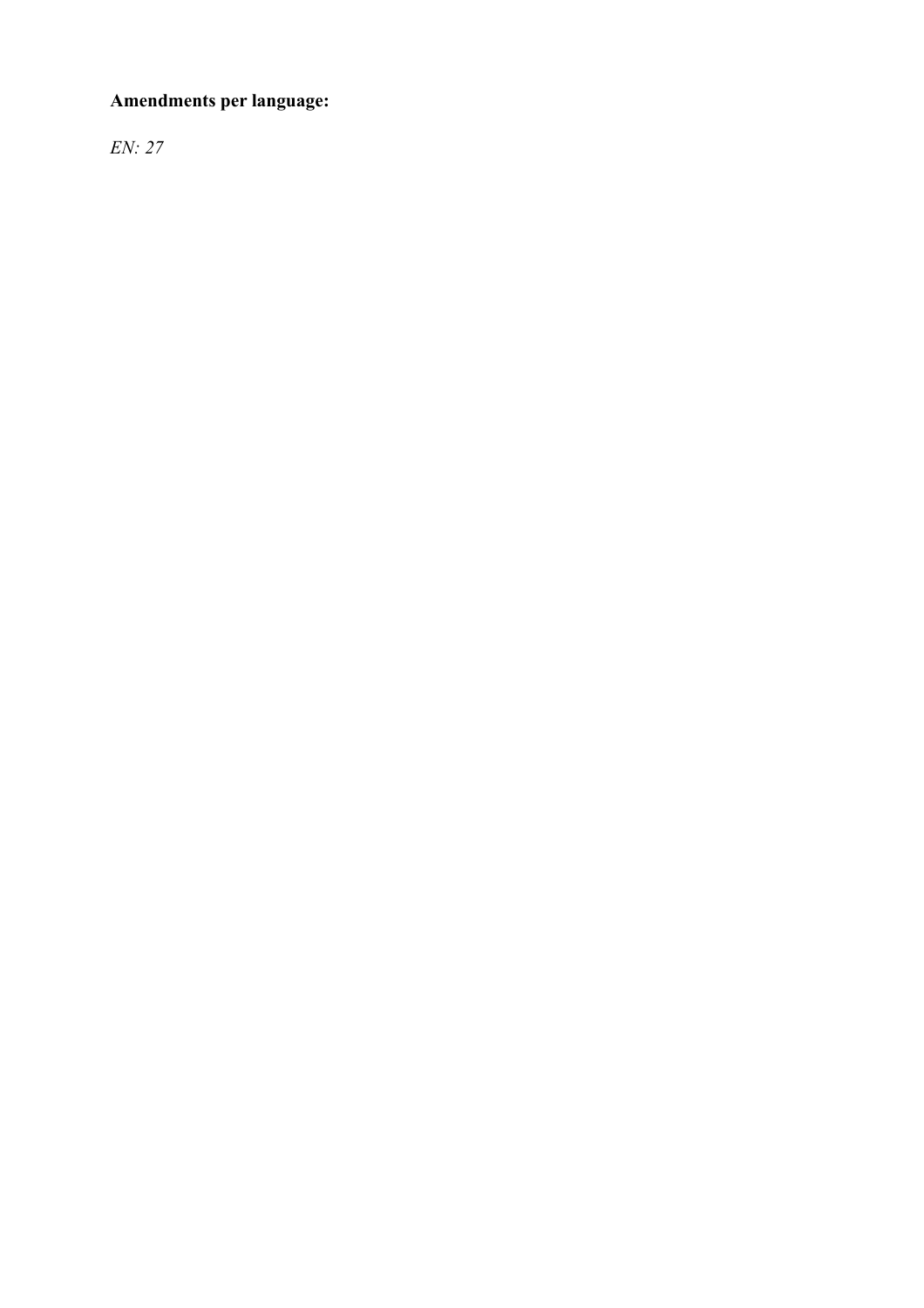# **Amendments per language:**

*EN: 27*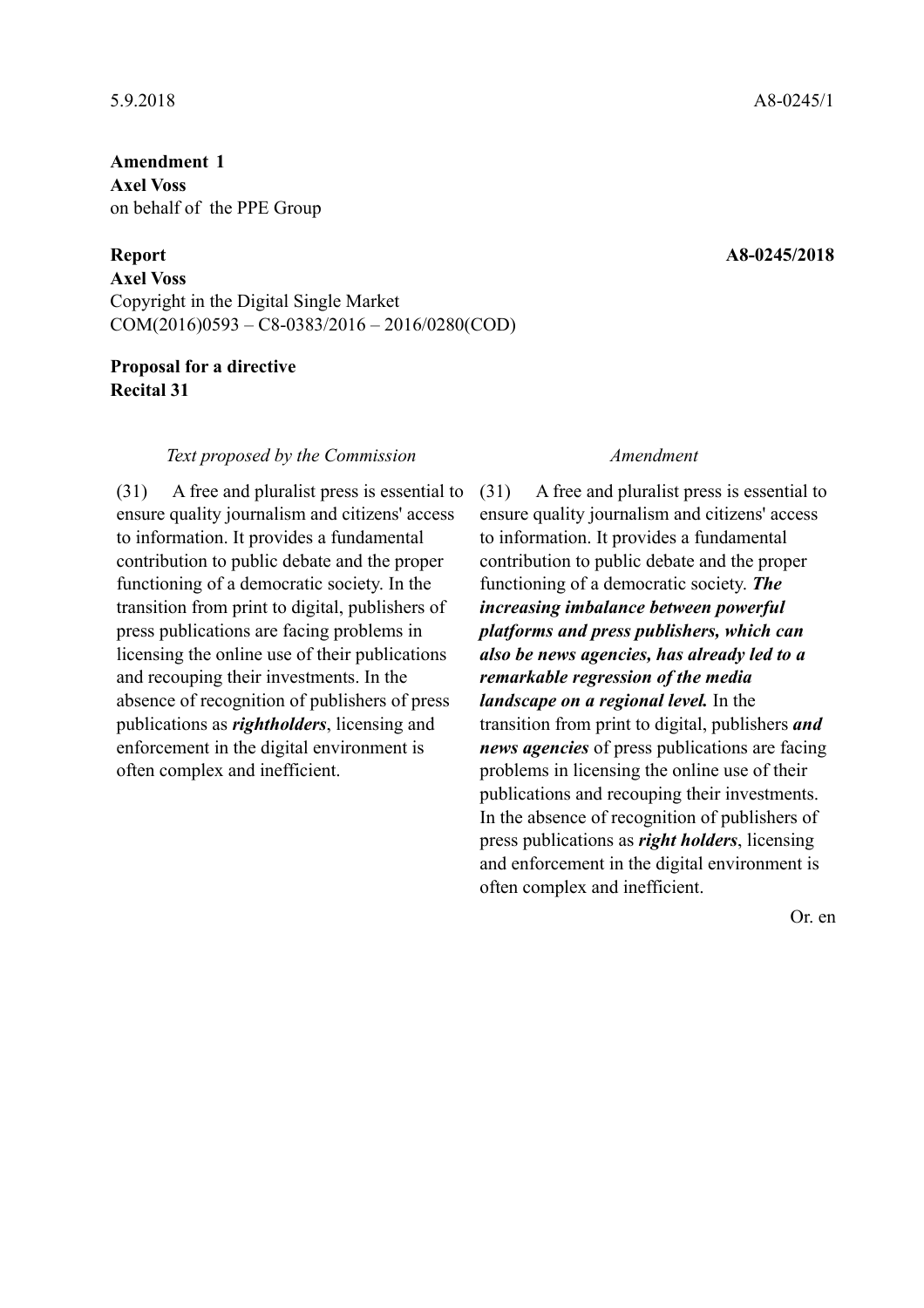# **Amendment 1 Axel Voss**  on behalf of the PPE Group

**Axel Voss**  Copyright in the Digital Single Market COM(2016)0593 – C8-0383/2016 – 2016/0280(COD)

# **Proposal for a directive Recital 31**

### *Text proposed by the Commission Amendment*

(31) A free and pluralist press is essential to ensure quality journalism and citizens' access to information. It provides a fundamental contribution to public debate and the proper functioning of a democratic society. In the transition from print to digital, publishers of press publications are facing problems in licensing the online use of their publications and recouping their investments. In the absence of recognition of publishers of press publications as *rightholders*, licensing and enforcement in the digital environment is often complex and inefficient.

(31) A free and pluralist press is essential to ensure quality journalism and citizens' access to information. It provides a fundamental contribution to public debate and the proper functioning of a democratic society. *The increasing imbalance between powerful platforms and press publishers, which can also be news agencies, has already led to a remarkable regression of the media landscape on a regional level.* In the transition from print to digital, publishers *and news agencies* of press publications are facing problems in licensing the online use of their publications and recouping their investments. In the absence of recognition of publishers of press publications as *right holders*, licensing and enforcement in the digital environment is often complex and inefficient.

Or. en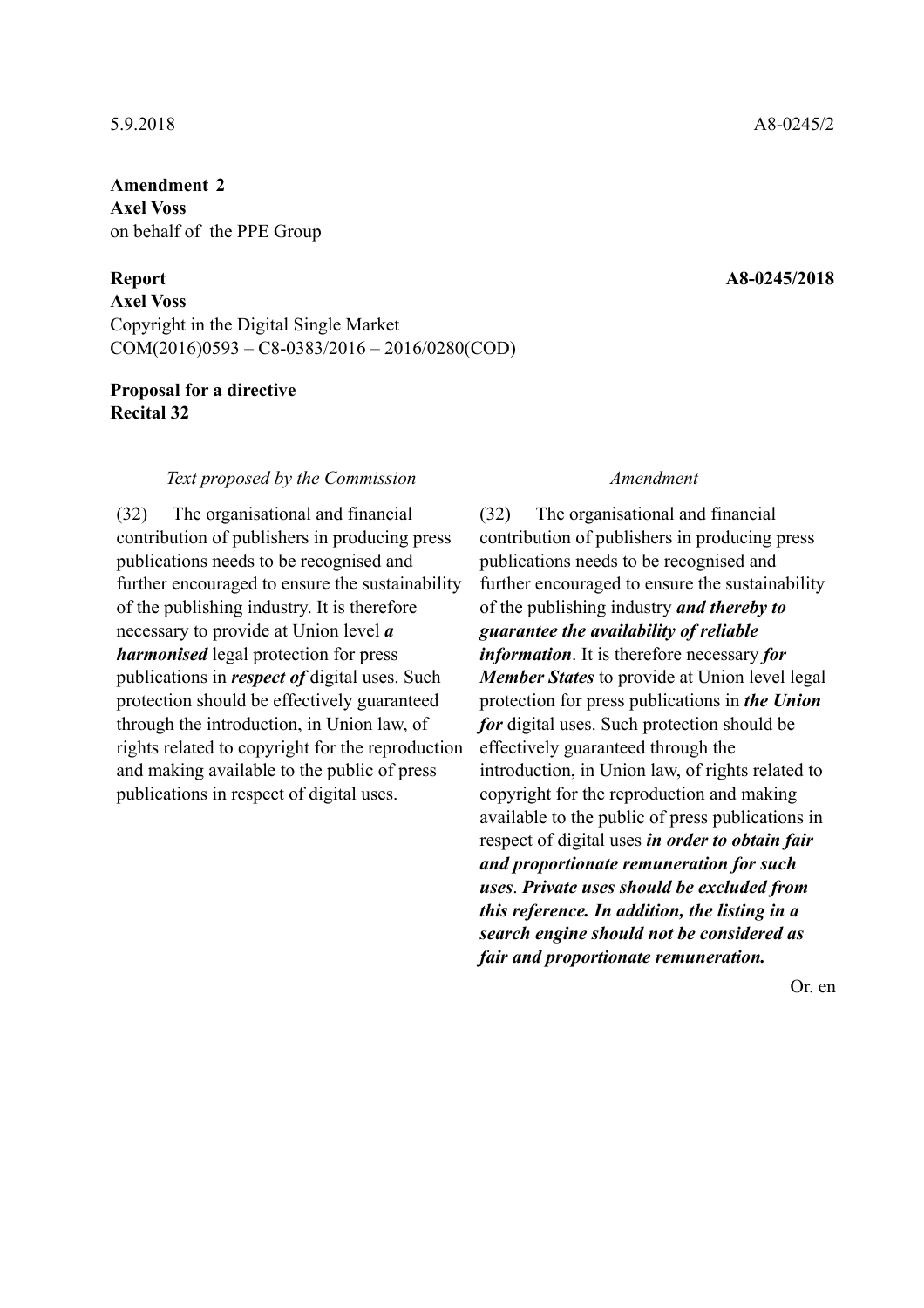**Axel Voss**  on behalf of the PPE Group

### **Report A8-0245/2018**

**Axel Voss**  Copyright in the Digital Single Market COM(2016)0593 – C8-0383/2016 – 2016/0280(COD)

### **Proposal for a directive Recital 32**

### *Text proposed by the Commission Amendment*

(32) The organisational and financial contribution of publishers in producing press publications needs to be recognised and further encouraged to ensure the sustainability of the publishing industry. It is therefore necessary to provide at Union level *a harmonised* legal protection for press publications in *respect of* digital uses. Such protection should be effectively guaranteed through the introduction, in Union law, of rights related to copyright for the reproduction and making available to the public of press publications in respect of digital uses.

(32) The organisational and financial contribution of publishers in producing press publications needs to be recognised and further encouraged to ensure the sustainability of the publishing industry *and thereby to guarantee the availability of reliable information*. It is therefore necessary *for Member States* to provide at Union level legal protection for press publications in *the Union for* digital uses. Such protection should be effectively guaranteed through the introduction, in Union law, of rights related to copyright for the reproduction and making available to the public of press publications in respect of digital uses *in order to obtain fair and proportionate remuneration for such uses*. *Private uses should be excluded from this reference. In addition, the listing in a search engine should not be considered as fair and proportionate remuneration.*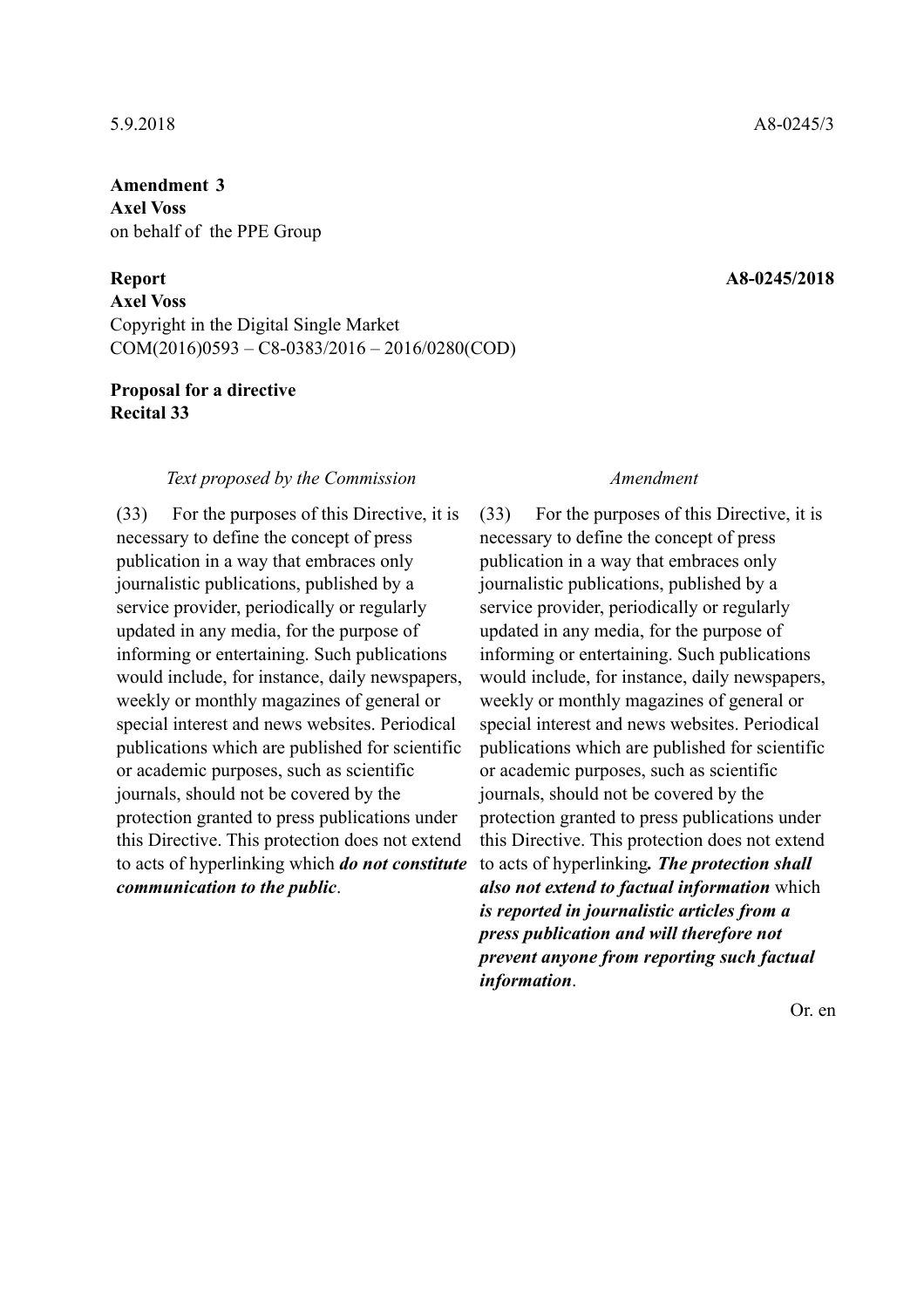**Axel Voss**  on behalf of the PPE Group

**Axel Voss**  Copyright in the Digital Single Market COM(2016)0593 – C8-0383/2016 – 2016/0280(COD)

### **Proposal for a directive Recital 33**

### *Text proposed by the Commission Amendment*

(33) For the purposes of this Directive, it is necessary to define the concept of press publication in a way that embraces only journalistic publications, published by a service provider, periodically or regularly updated in any media, for the purpose of informing or entertaining. Such publications would include, for instance, daily newspapers, weekly or monthly magazines of general or special interest and news websites. Periodical publications which are published for scientific or academic purposes, such as scientific journals, should not be covered by the protection granted to press publications under this Directive. This protection does not extend to acts of hyperlinking which *do not constitute communication to the public*.

(33) For the purposes of this Directive, it is necessary to define the concept of press publication in a way that embraces only journalistic publications, published by a service provider, periodically or regularly updated in any media, for the purpose of informing or entertaining. Such publications would include, for instance, daily newspapers, weekly or monthly magazines of general or special interest and news websites. Periodical publications which are published for scientific or academic purposes, such as scientific journals, should not be covered by the protection granted to press publications under this Directive. This protection does not extend to acts of hyperlinking*. The protection shall also not extend to factual information* which *is reported in journalistic articles from a press publication and will therefore not prevent anyone from reporting such factual information*.

Or. en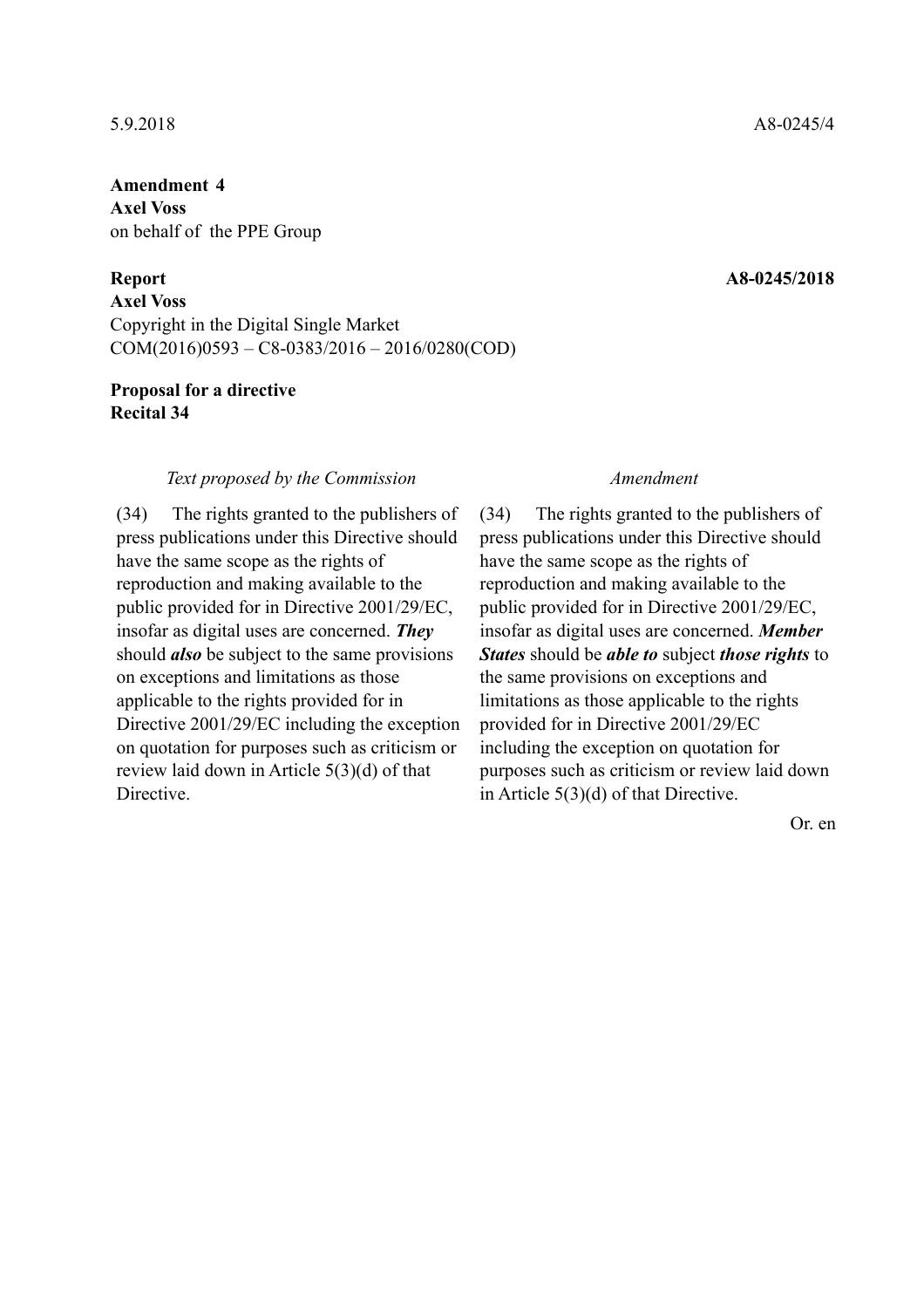**Axel Voss**  on behalf of the PPE Group

**Axel Voss**  Copyright in the Digital Single Market COM(2016)0593 – C8-0383/2016 – 2016/0280(COD)

### **Proposal for a directive Recital 34**

### *Text proposed by the Commission Amendment*

(34) The rights granted to the publishers of press publications under this Directive should have the same scope as the rights of reproduction and making available to the public provided for in Directive 2001/29/EC, insofar as digital uses are concerned. *They* should *also* be subject to the same provisions on exceptions and limitations as those applicable to the rights provided for in Directive 2001/29/EC including the exception on quotation for purposes such as criticism or review laid down in Article 5(3)(d) of that **Directive** 

(34) The rights granted to the publishers of press publications under this Directive should have the same scope as the rights of reproduction and making available to the public provided for in Directive 2001/29/EC, insofar as digital uses are concerned. *Member States* should be *able to* subject *those rights* to the same provisions on exceptions and limitations as those applicable to the rights provided for in Directive 2001/29/EC including the exception on quotation for purposes such as criticism or review laid down in Article 5(3)(d) of that Directive.

Or. en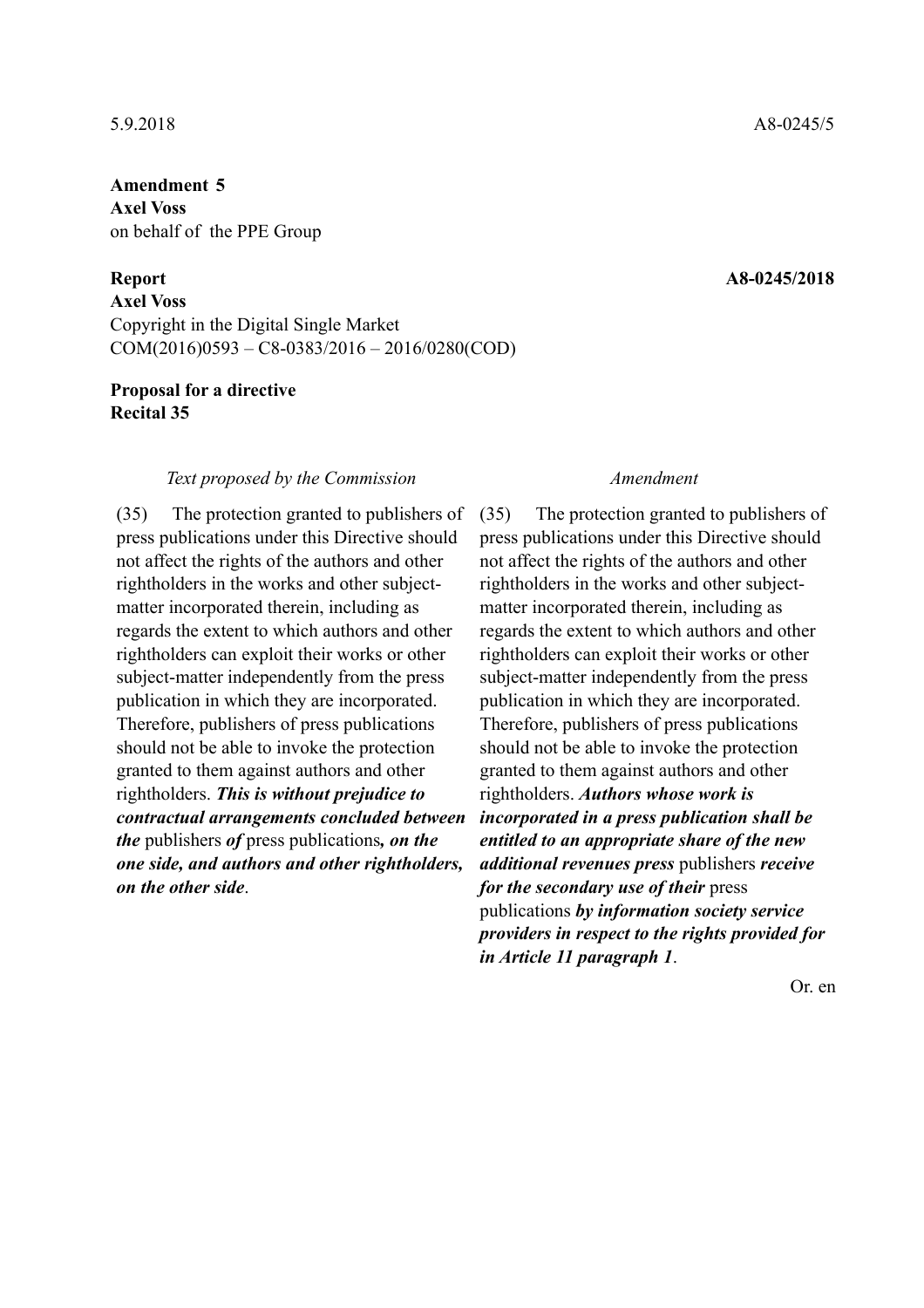**Axel Voss**  on behalf of the PPE Group

**Axel Voss**  Copyright in the Digital Single Market COM(2016)0593 – C8-0383/2016 – 2016/0280(COD)

### **Proposal for a directive Recital 35**

### *Text proposed by the Commission Amendment*

(35) The protection granted to publishers of press publications under this Directive should not affect the rights of the authors and other rightholders in the works and other subjectmatter incorporated therein, including as regards the extent to which authors and other rightholders can exploit their works or other subject-matter independently from the press publication in which they are incorporated. Therefore, publishers of press publications should not be able to invoke the protection granted to them against authors and other rightholders. *This is without prejudice to contractual arrangements concluded between the* publishers *of* press publications*, on the one side, and authors and other rightholders, on the other side*.

(35) The protection granted to publishers of press publications under this Directive should not affect the rights of the authors and other rightholders in the works and other subjectmatter incorporated therein, including as regards the extent to which authors and other rightholders can exploit their works or other subject-matter independently from the press publication in which they are incorporated. Therefore, publishers of press publications should not be able to invoke the protection granted to them against authors and other rightholders. *Authors whose work is incorporated in a press publication shall be entitled to an appropriate share of the new additional revenues press* publishers *receive for the secondary use of their* press publications *by information society service providers in respect to the rights provided for in Article 11 paragraph 1*.

Or. en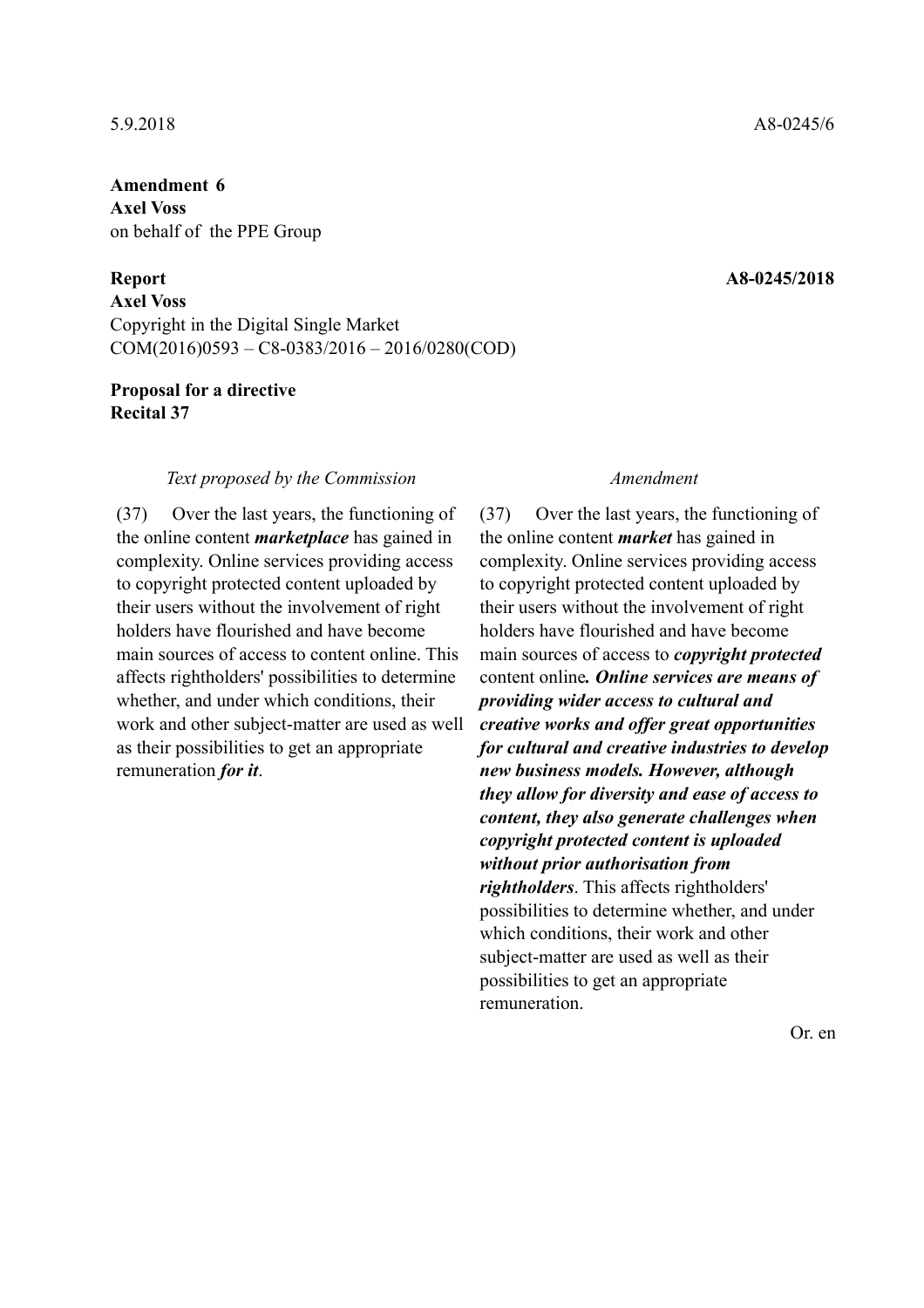**Axel Voss**  on behalf of the PPE Group

**Axel Voss**  Copyright in the Digital Single Market COM(2016)0593 – C8-0383/2016 – 2016/0280(COD)

### **Proposal for a directive Recital 37**

### *Text proposed by the Commission Amendment*

(37) Over the last years, the functioning of the online content *marketplace* has gained in complexity. Online services providing access to copyright protected content uploaded by their users without the involvement of right holders have flourished and have become main sources of access to content online. This affects rightholders' possibilities to determine whether, and under which conditions, their work and other subject-matter are used as well as their possibilities to get an appropriate remuneration *for it*.

(37) Over the last years, the functioning of the online content *market* has gained in complexity. Online services providing access to copyright protected content uploaded by their users without the involvement of right holders have flourished and have become main sources of access to *copyright protected* content online*. Online services are means of providing wider access to cultural and creative works and offer great opportunities for cultural and creative industries to develop new business models. However, although they allow for diversity and ease of access to content, they also generate challenges when copyright protected content is uploaded without prior authorisation from rightholders*. This affects rightholders' possibilities to determine whether, and under which conditions, their work and other subject-matter are used as well as their possibilities to get an appropriate remuneration.

Or. en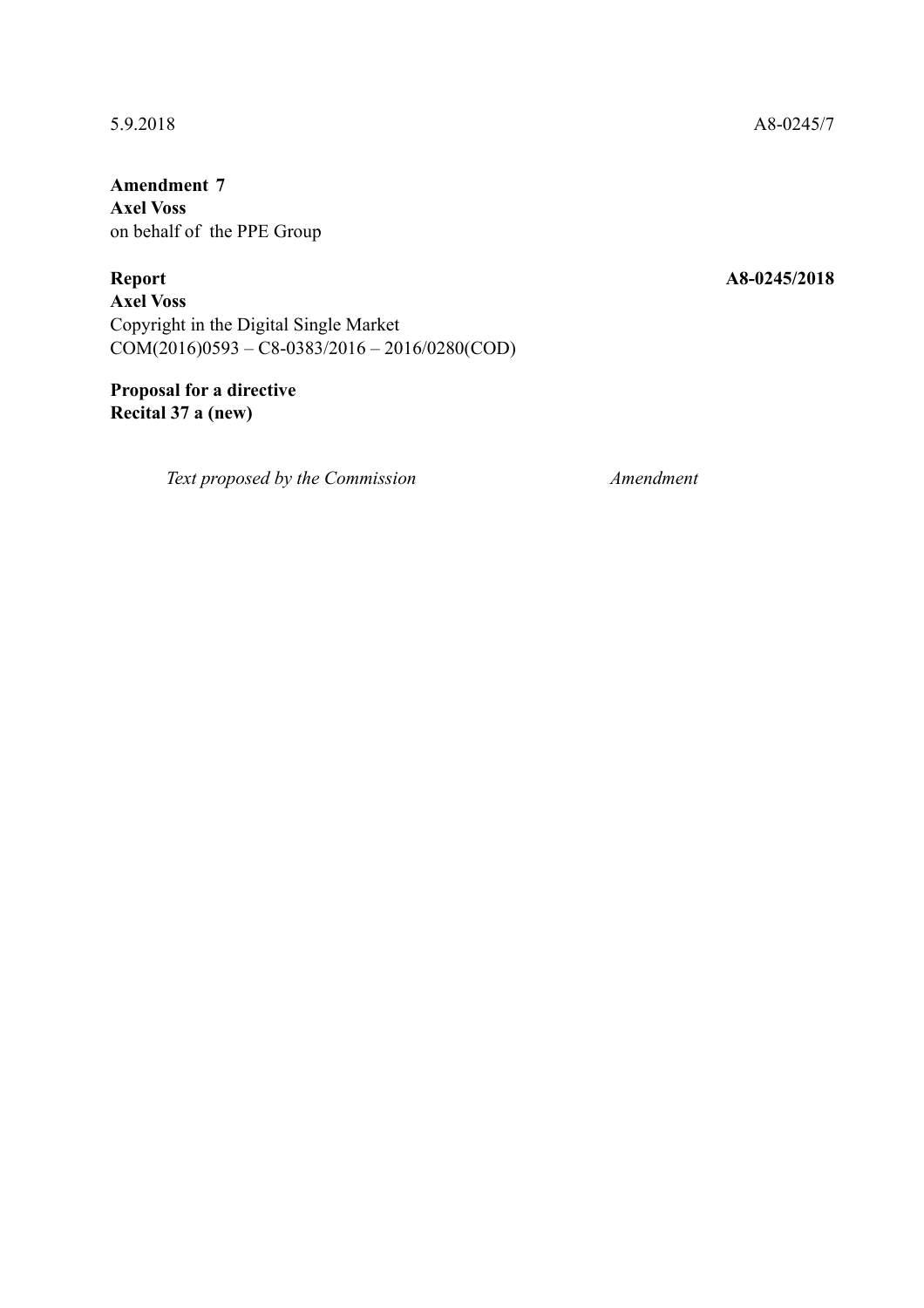**Amendment 7 Axel Voss**  on behalf of the PPE Group

**Report A8-0245/2018** 

**Axel Voss**  Copyright in the Digital Single Market COM(2016)0593 – C8-0383/2016 – 2016/0280(COD)

**Proposal for a directive Recital 37 a (new)** 

*Text proposed by the Commission Amendment*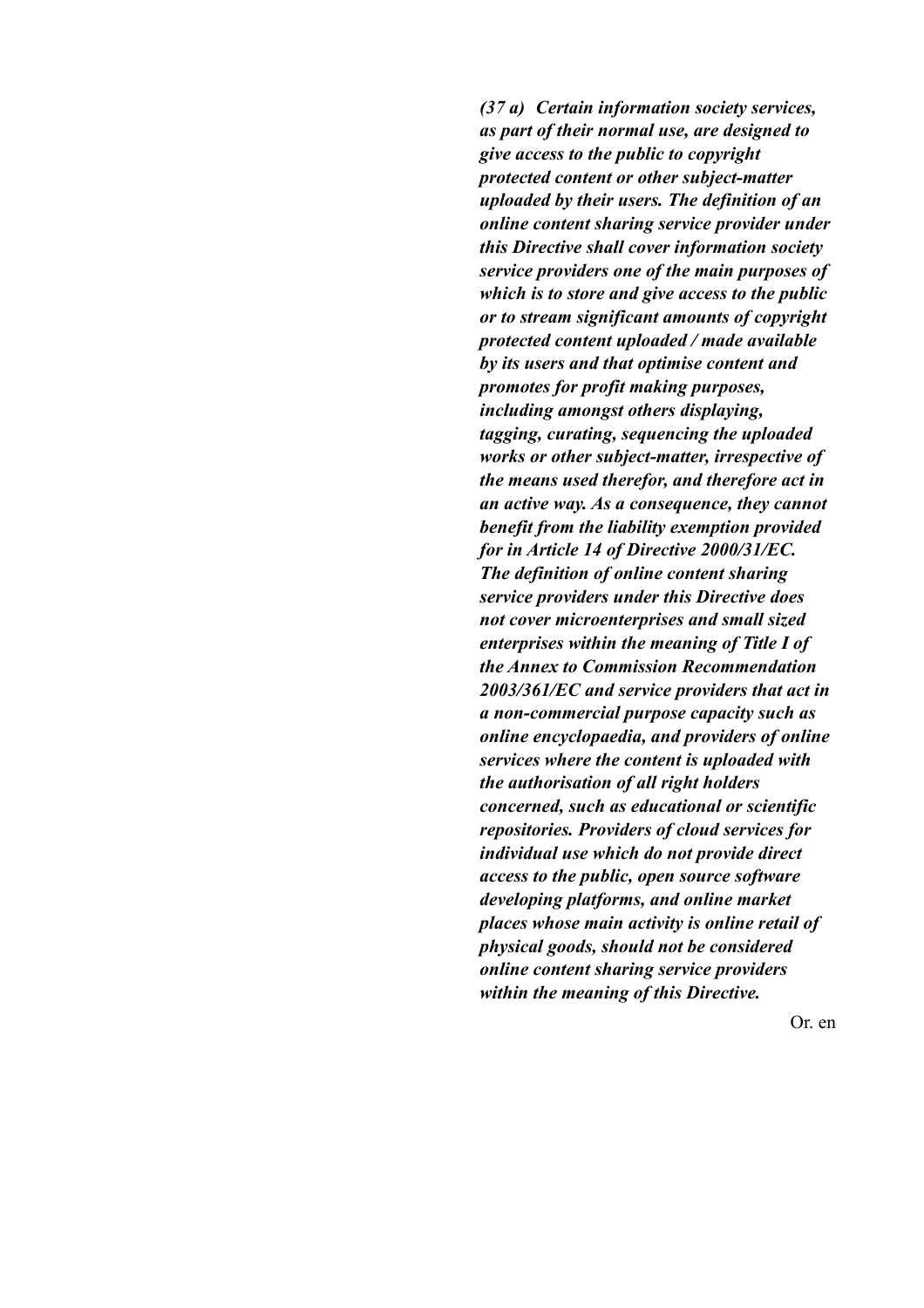*(37 a) Certain information society services, as part of their normal use, are designed to give access to the public to copyright protected content or other subject-matter uploaded by their users. The definition of an online content sharing service provider under this Directive shall cover information society service providers one of the main purposes of which is to store and give access to the public or to stream significant amounts of copyright protected content uploaded / made available by its users and that optimise content and promotes for profit making purposes, including amongst others displaying, tagging, curating, sequencing the uploaded works or other subject-matter, irrespective of the means used therefor, and therefore act in an active way. As a consequence, they cannot benefit from the liability exemption provided for in Article 14 of Directive 2000/31/EC. The definition of online content sharing service providers under this Directive does not cover microenterprises and small sized enterprises within the meaning of Title I of the Annex to Commission Recommendation 2003/361/EC and service providers that act in a non-commercial purpose capacity such as online encyclopaedia, and providers of online services where the content is uploaded with the authorisation of all right holders concerned, such as educational or scientific repositories. Providers of cloud services for individual use which do not provide direct access to the public, open source software developing platforms, and online market places whose main activity is online retail of physical goods, should not be considered online content sharing service providers within the meaning of this Directive.*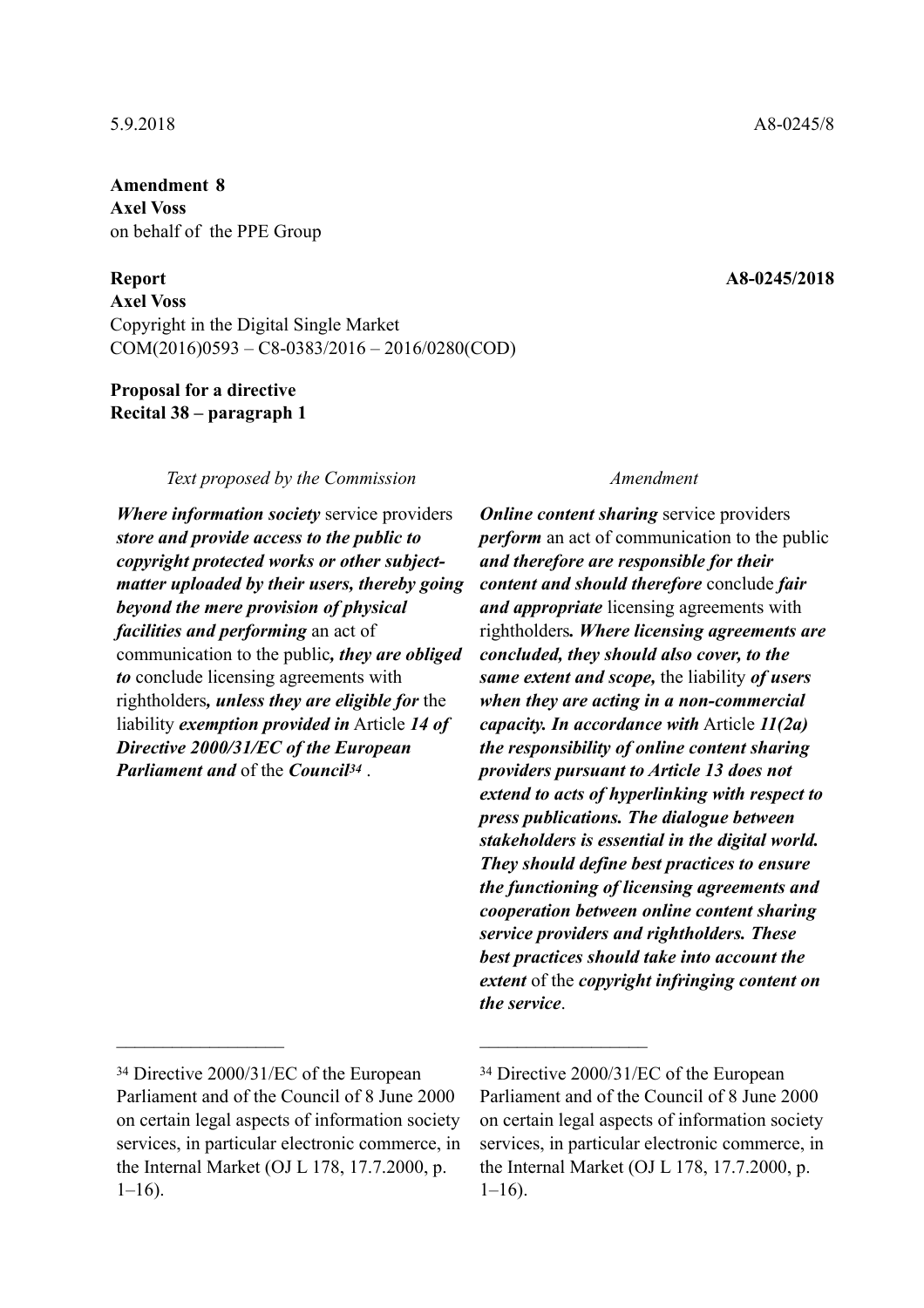**Amendment 8 Axel Voss**  on behalf of the PPE Group

**Axel Voss**  Copyright in the Digital Single Market COM(2016)0593 – C8-0383/2016 – 2016/0280(COD)

### **Proposal for a directive Recital 38 – paragraph 1**

### *Text proposed by the Commission Amendment*

*Where information society* service providers *store and provide access to the public to copyright protected works or other subjectmatter uploaded by their users, thereby going beyond the mere provision of physical facilities and performing* an act of communication to the public*, they are obliged to* conclude licensing agreements with rightholders*, unless they are eligible for* the liability *exemption provided in* Article *14 of Directive 2000/31/EC of the European Parliament and* of the *Council34* .

 $\mathcal{L}_\text{max}$  and  $\mathcal{L}_\text{max}$  and  $\mathcal{L}_\text{max}$  and  $\mathcal{L}_\text{max}$ 

*Online content sharing* service providers *perform* an act of communication to the public *and therefore are responsible for their content and should therefore* conclude *fair and appropriate* licensing agreements with rightholders*. Where licensing agreements are concluded, they should also cover, to the same extent and scope,* the liability *of users when they are acting in a non-commercial capacity. In accordance with* Article *11(2a) the responsibility of online content sharing providers pursuant to Article 13 does not extend to acts of hyperlinking with respect to press publications. The dialogue between stakeholders is essential in the digital world. They should define best practices to ensure the functioning of licensing agreements and cooperation between online content sharing service providers and rightholders. These best practices should take into account the extent* of the *copyright infringing content on the service*.

<sup>34</sup> Directive 2000/31/EC of the European Parliament and of the Council of 8 June 2000 on certain legal aspects of information society services, in particular electronic commerce, in the Internal Market (OJ L 178, 17.7.2000, p.  $1-16$ ).

<sup>34</sup> Directive 2000/31/EC of the European Parliament and of the Council of 8 June 2000 on certain legal aspects of information society services, in particular electronic commerce, in the Internal Market (OJ L 178, 17.7.2000, p.  $1-16$ ).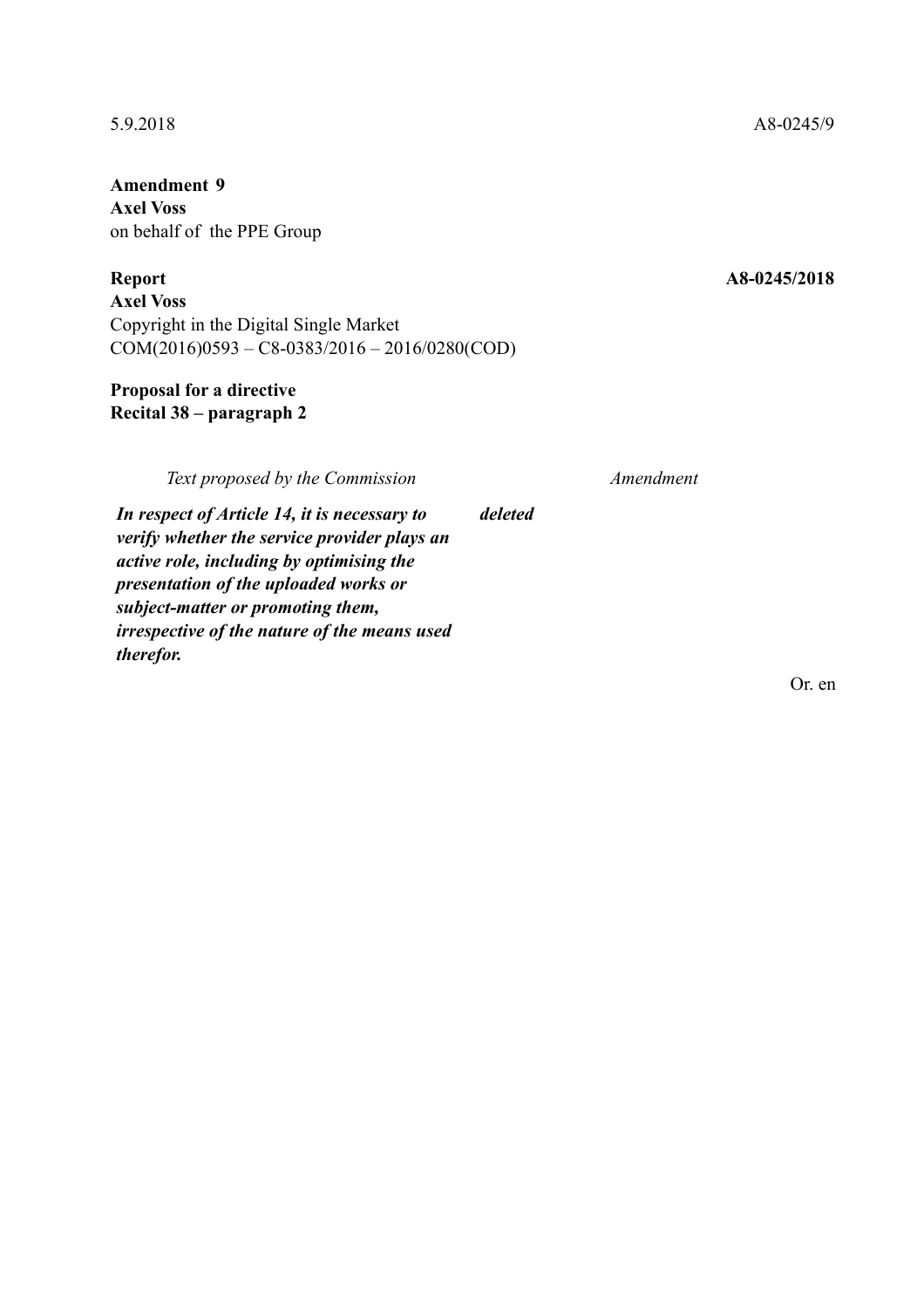**Amendment 9 Axel Voss**  on behalf of the PPE Group

**Axel Voss**  Copyright in the Digital Single Market COM(2016)0593 – C8-0383/2016 – 2016/0280(COD)

# **Proposal for a directive Recital 38 – paragraph 2**

*Text proposed by the Commission Amendment*

*deleted*

*In respect of Article 14, it is necessary to verify whether the service provider plays an active role, including by optimising the presentation of the uploaded works or subject-matter or promoting them, irrespective of the nature of the means used therefor.*

Or. en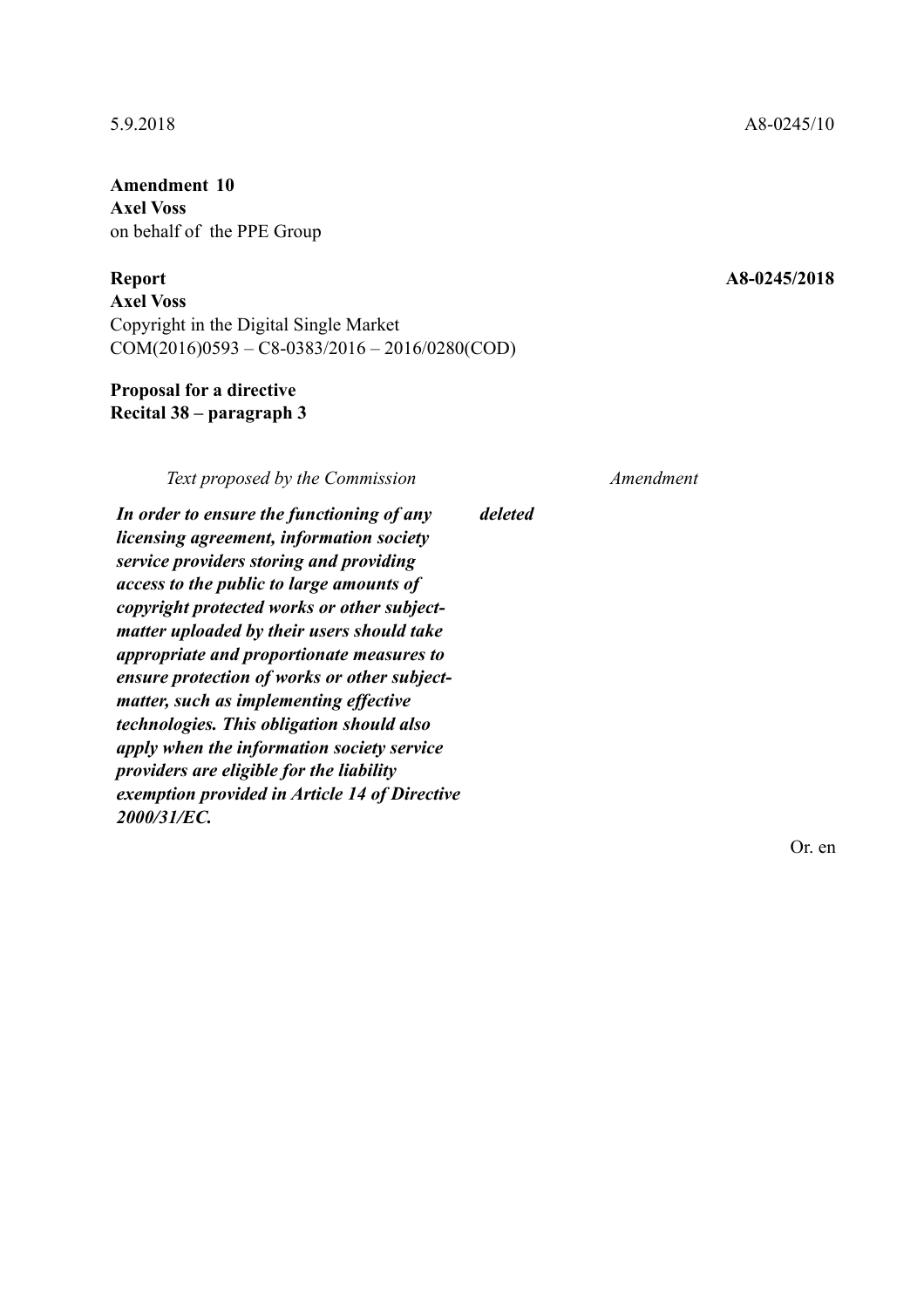**Axel Voss**  on behalf of the PPE Group

**Axel Voss**  Copyright in the Digital Single Market COM(2016)0593 – C8-0383/2016 – 2016/0280(COD)

### **Proposal for a directive Recital 38 – paragraph 3**

*Text proposed by the Commission Amendment*

*deleted*

*In order to ensure the functioning of any licensing agreement, information society service providers storing and providing access to the public to large amounts of copyright protected works or other subjectmatter uploaded by their users should take appropriate and proportionate measures to ensure protection of works or other subjectmatter, such as implementing effective technologies. This obligation should also apply when the information society service providers are eligible for the liability exemption provided in Article 14 of Directive 2000/31/EC.*

Or. en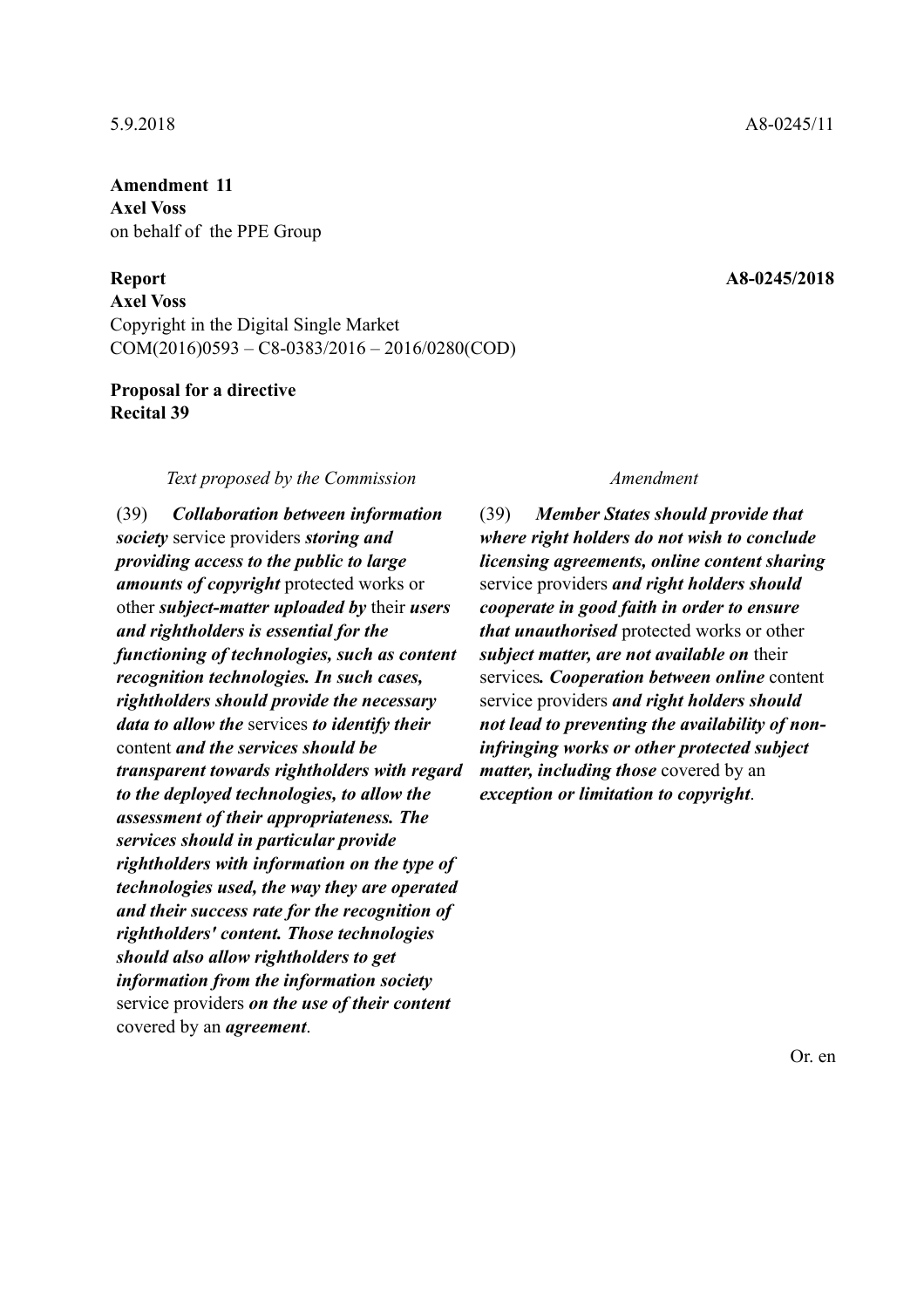# **Amendment 11 Axel Voss**  on behalf of the PPE Group

### **Report A8-0245/2018**

**Axel Voss**  Copyright in the Digital Single Market COM(2016)0593 – C8-0383/2016 – 2016/0280(COD)

### **Proposal for a directive Recital 39**

### *Text proposed by the Commission Amendment*

(39) *Collaboration between information society* service providers *storing and providing access to the public to large amounts of copyright* protected works or other *subject-matter uploaded by* their *users and rightholders is essential for the functioning of technologies, such as content recognition technologies. In such cases, rightholders should provide the necessary data to allow the* services *to identify their* content *and the services should be transparent towards rightholders with regard to the deployed technologies, to allow the assessment of their appropriateness. The services should in particular provide rightholders with information on the type of technologies used, the way they are operated and their success rate for the recognition of rightholders' content. Those technologies should also allow rightholders to get information from the information society* service providers *on the use of their content* covered by an *agreement*.

(39) *Member States should provide that where right holders do not wish to conclude licensing agreements, online content sharing* service providers *and right holders should cooperate in good faith in order to ensure that unauthorised* protected works or other *subject matter, are not available on* their services*. Cooperation between online* content service providers *and right holders should not lead to preventing the availability of noninfringing works or other protected subject matter, including those* covered by an *exception or limitation to copyright*.

5.9.2018 A8-0245/11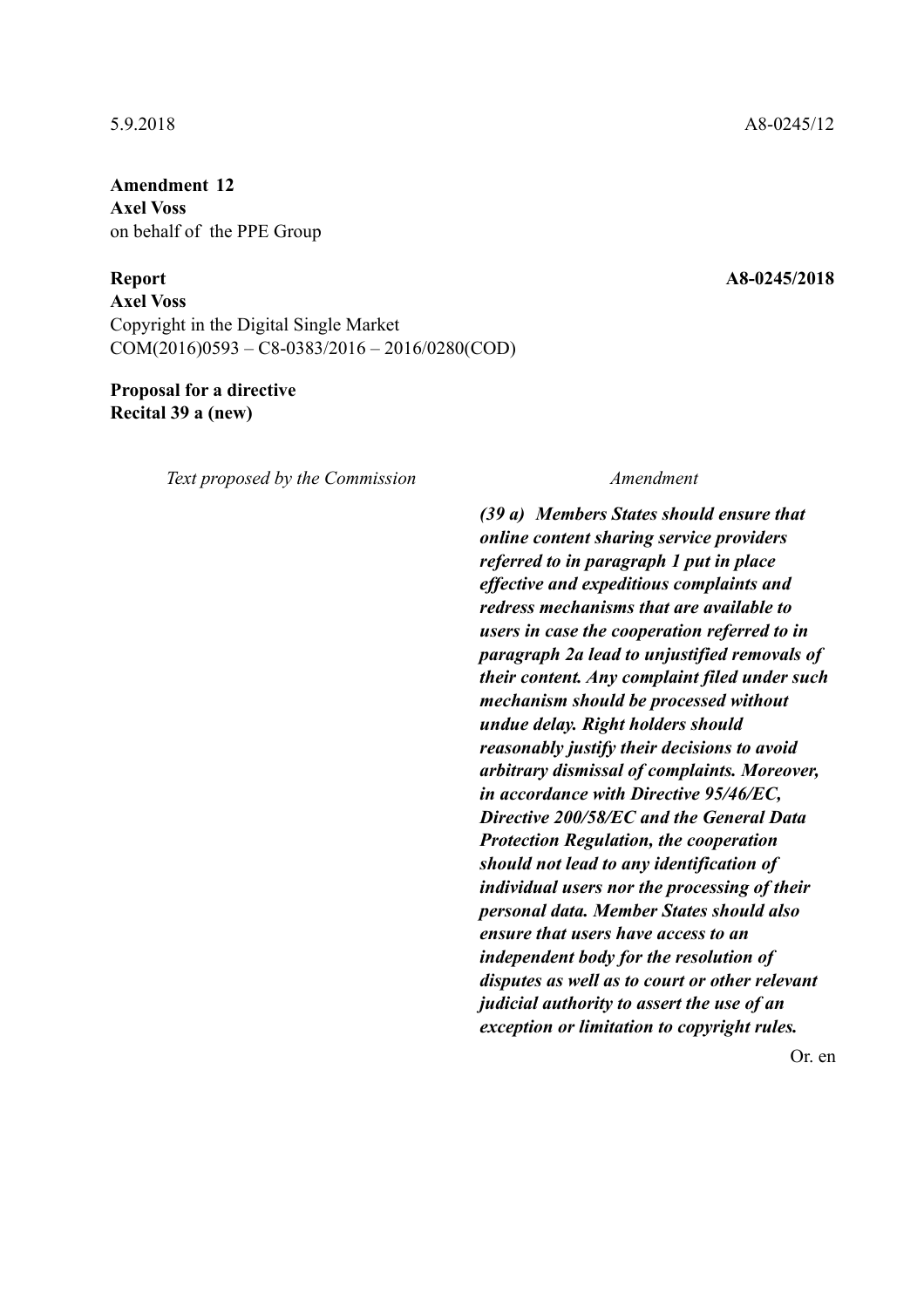**Amendment 12 Axel Voss**  on behalf of the PPE Group

**Report A8-0245/2018** 

**Axel Voss**  Copyright in the Digital Single Market COM(2016)0593 – C8-0383/2016 – 2016/0280(COD)

### **Proposal for a directive Recital 39 a (new)**

*Text proposed by the Commission Amendment*

*(39 a) Members States should ensure that online content sharing service providers referred to in paragraph 1 put in place effective and expeditious complaints and redress mechanisms that are available to users in case the cooperation referred to in paragraph 2a lead to unjustified removals of their content. Any complaint filed under such mechanism should be processed without undue delay. Right holders should reasonably justify their decisions to avoid arbitrary dismissal of complaints. Moreover, in accordance with Directive 95/46/EC, Directive 200/58/EC and the General Data Protection Regulation, the cooperation should not lead to any identification of individual users nor the processing of their personal data. Member States should also ensure that users have access to an independent body for the resolution of disputes as well as to court or other relevant judicial authority to assert the use of an exception or limitation to copyright rules.*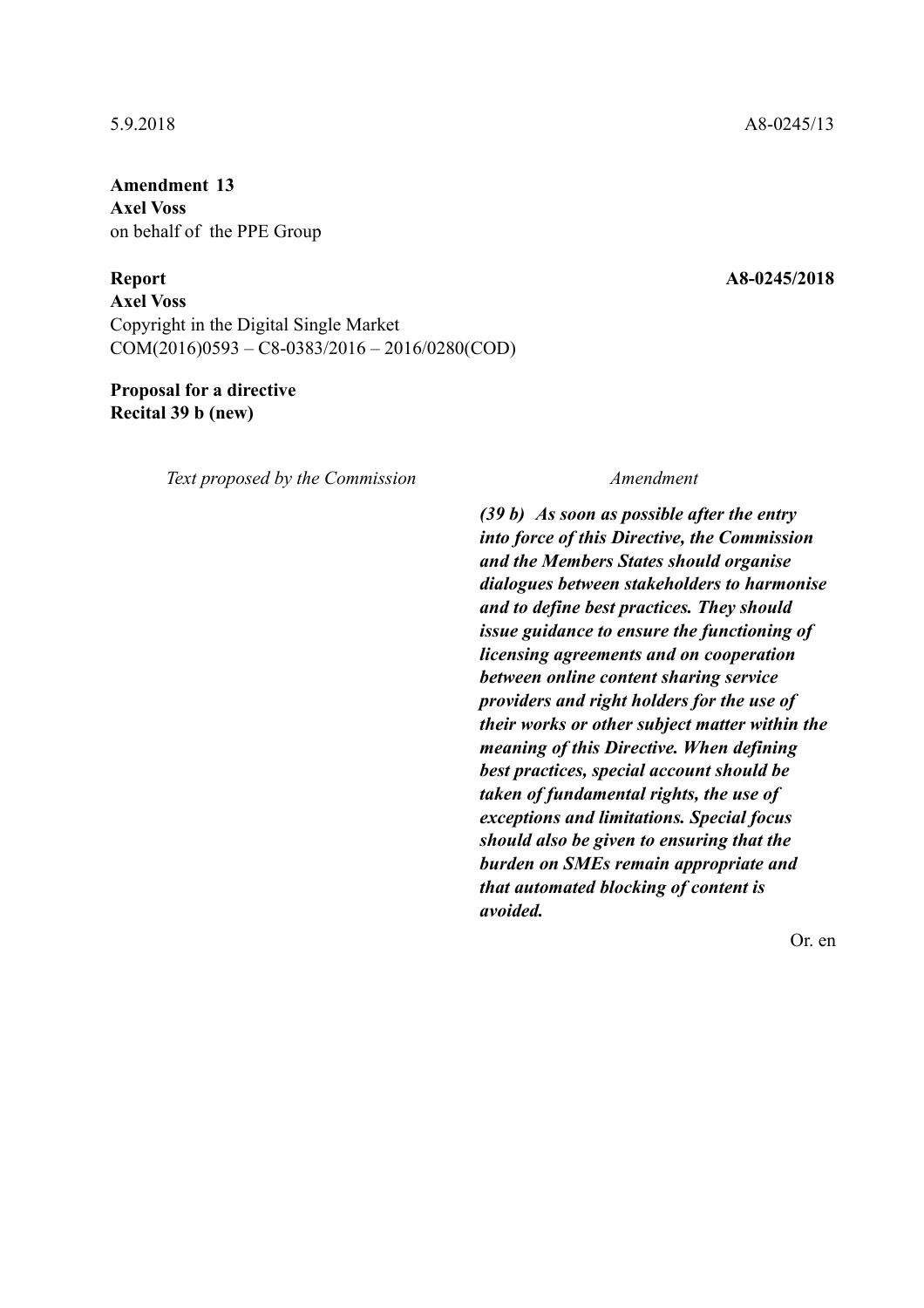**Amendment 13 Axel Voss**  on behalf of the PPE Group

**Report A8-0245/2018** 

**Axel Voss**  Copyright in the Digital Single Market COM(2016)0593 – C8-0383/2016 – 2016/0280(COD)

# **Proposal for a directive Recital 39 b (new)**

*Text proposed by the Commission Amendment*

*(39 b) As soon as possible after the entry into force of this Directive, the Commission and the Members States should organise dialogues between stakeholders to harmonise and to define best practices. They should issue guidance to ensure the functioning of licensing agreements and on cooperation between online content sharing service providers and right holders for the use of their works or other subject matter within the meaning of this Directive. When defining best practices, special account should be taken of fundamental rights, the use of exceptions and limitations. Special focus should also be given to ensuring that the burden on SMEs remain appropriate and that automated blocking of content is avoided.*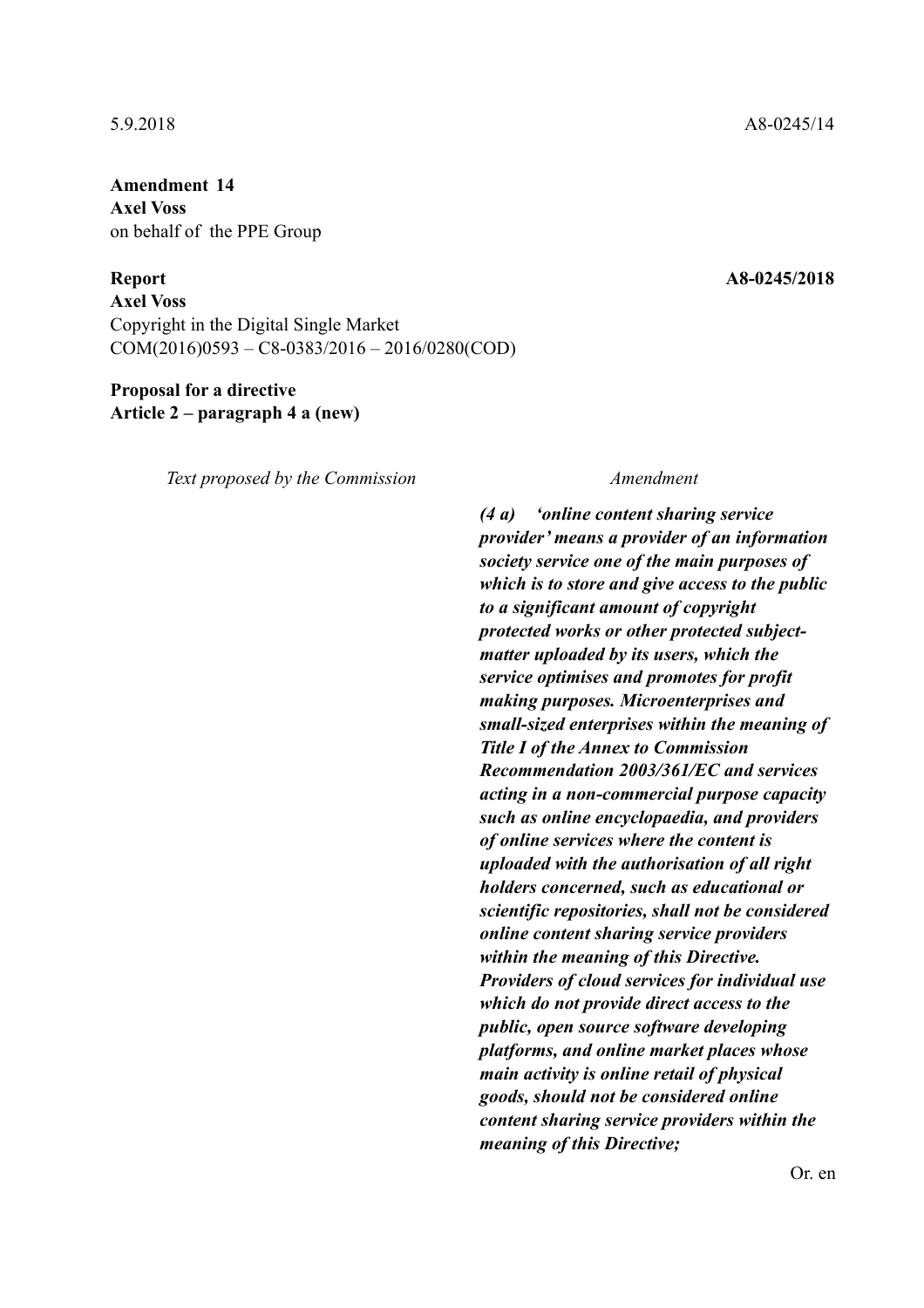# **Amendment 14 Axel Voss**  on behalf of the PPE Group

**Axel Voss**  Copyright in the Digital Single Market COM(2016)0593 – C8-0383/2016 – 2016/0280(COD)

### **Proposal for a directive Article 2 – paragraph 4 a (new)**

*Text proposed by the Commission Amendment*

*(4 a) 'online content sharing service provider' means a provider of an information society service one of the main purposes of which is to store and give access to the public to a significant amount of copyright protected works or other protected subjectmatter uploaded by its users, which the service optimises and promotes for profit making purposes. Microenterprises and small-sized enterprises within the meaning of Title I of the Annex to Commission Recommendation 2003/361/EC and services acting in a non-commercial purpose capacity such as online encyclopaedia, and providers of online services where the content is uploaded with the authorisation of all right holders concerned, such as educational or scientific repositories, shall not be considered online content sharing service providers within the meaning of this Directive. Providers of cloud services for individual use which do not provide direct access to the public, open source software developing platforms, and online market places whose main activity is online retail of physical goods, should not be considered online content sharing service providers within the meaning of this Directive;*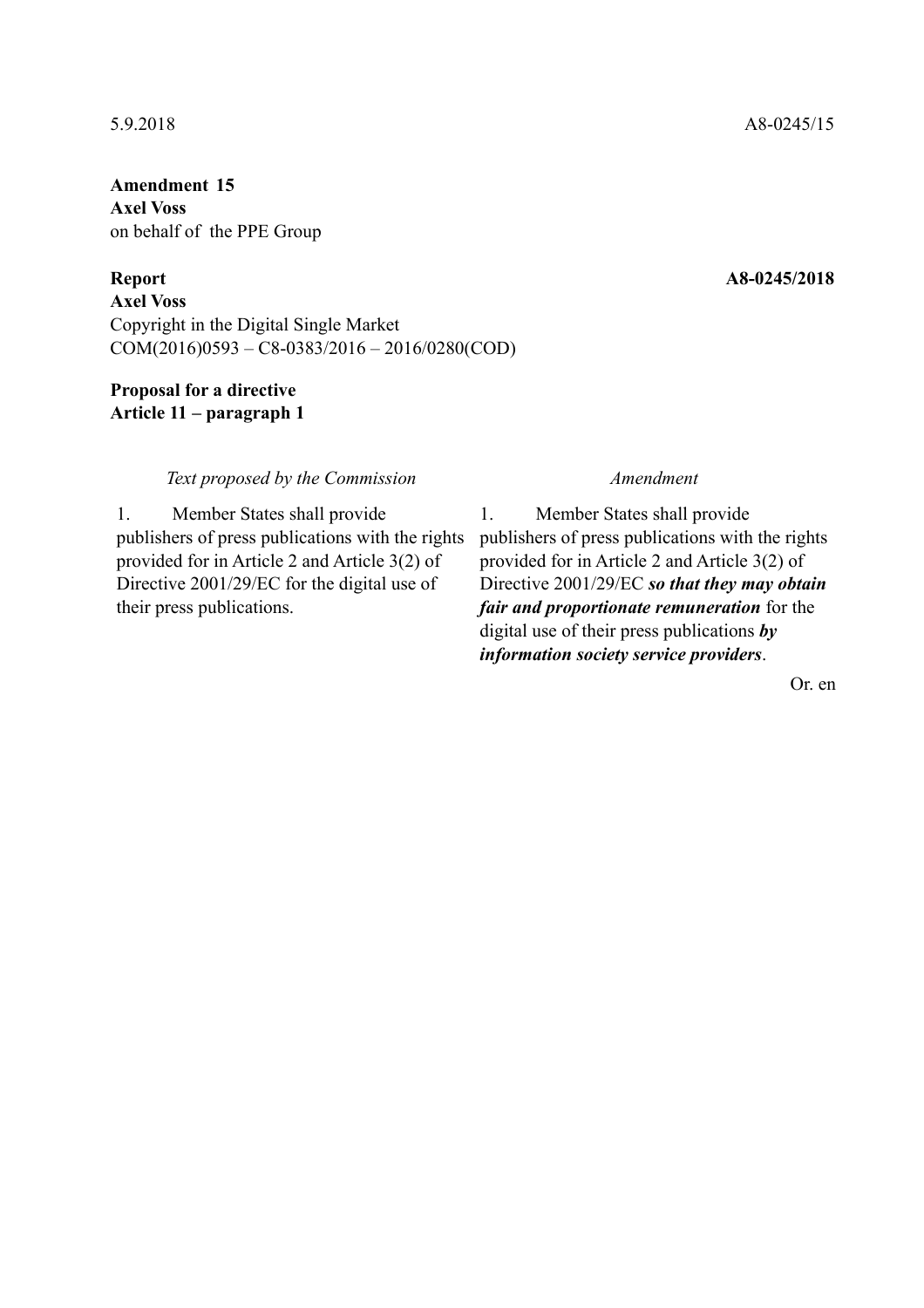**Amendment 15 Axel Voss**  on behalf of the PPE Group

**Axel Voss**  Copyright in the Digital Single Market COM(2016)0593 – C8-0383/2016 – 2016/0280(COD)

# **Proposal for a directive Article 11 – paragraph 1**

### *Text proposed by the Commission Amendment*

1. Member States shall provide publishers of press publications with the rights provided for in Article 2 and Article 3(2) of Directive 2001/29/EC for the digital use of their press publications.

1. Member States shall provide publishers of press publications with the rights provided for in Article 2 and Article 3(2) of Directive 2001/29/EC *so that they may obtain fair and proportionate remuneration* for the digital use of their press publications *by information society service providers*.

Or. en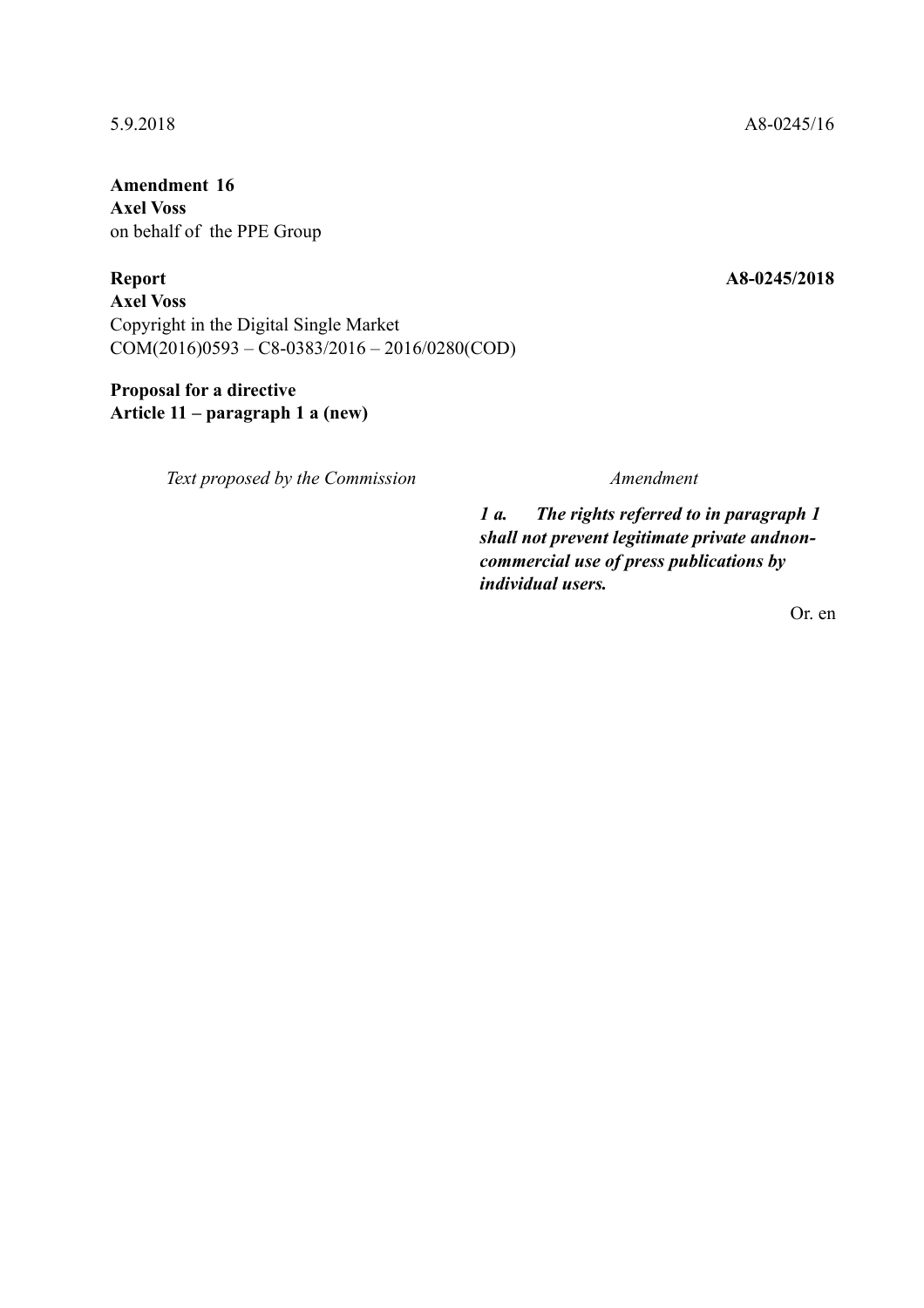**Amendment 16 Axel Voss**  on behalf of the PPE Group

**Report A8-0245/2018 Axel Voss**  Copyright in the Digital Single Market COM(2016)0593 – C8-0383/2016 – 2016/0280(COD)

# **Proposal for a directive Article 11 – paragraph 1 a (new)**

*Text proposed by the Commission Amendment*

*1 a. The rights referred to in paragraph 1 shall not prevent legitimate private andnoncommercial use of press publications by individual users.*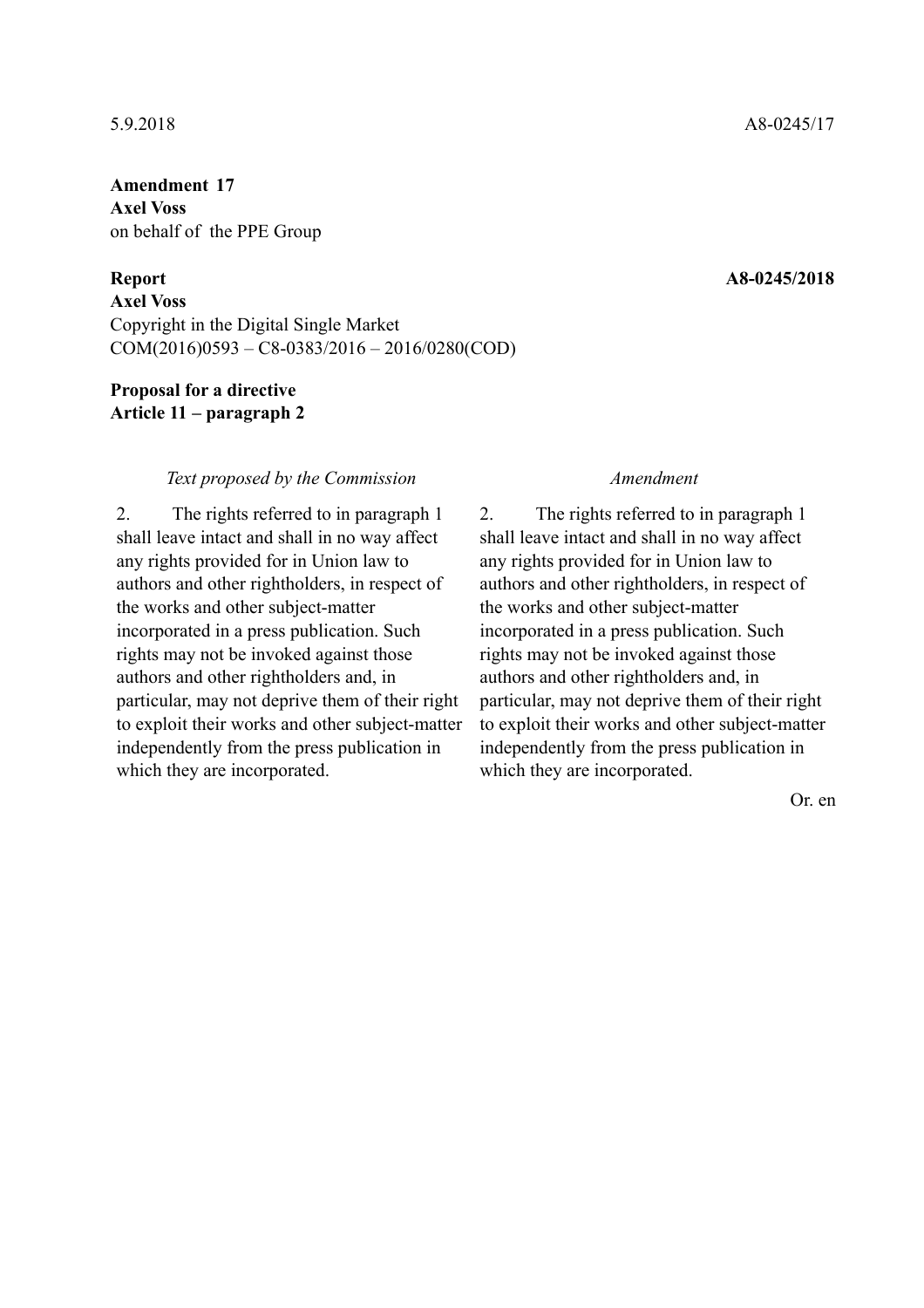# **Amendment 17 Axel Voss**  on behalf of the PPE Group

**Axel Voss**  Copyright in the Digital Single Market COM(2016)0593 – C8-0383/2016 – 2016/0280(COD)

### **Proposal for a directive Article 11 – paragraph 2**

### *Text proposed by the Commission Amendment*

2. The rights referred to in paragraph 1 shall leave intact and shall in no way affect any rights provided for in Union law to authors and other rightholders, in respect of the works and other subject-matter incorporated in a press publication. Such rights may not be invoked against those authors and other rightholders and, in particular, may not deprive them of their right to exploit their works and other subject-matter independently from the press publication in which they are incorporated.

2. The rights referred to in paragraph 1 shall leave intact and shall in no way affect any rights provided for in Union law to authors and other rightholders, in respect of the works and other subject-matter incorporated in a press publication. Such rights may not be invoked against those authors and other rightholders and, in particular, may not deprive them of their right to exploit their works and other subject-matter independently from the press publication in which they are incorporated.

Or. en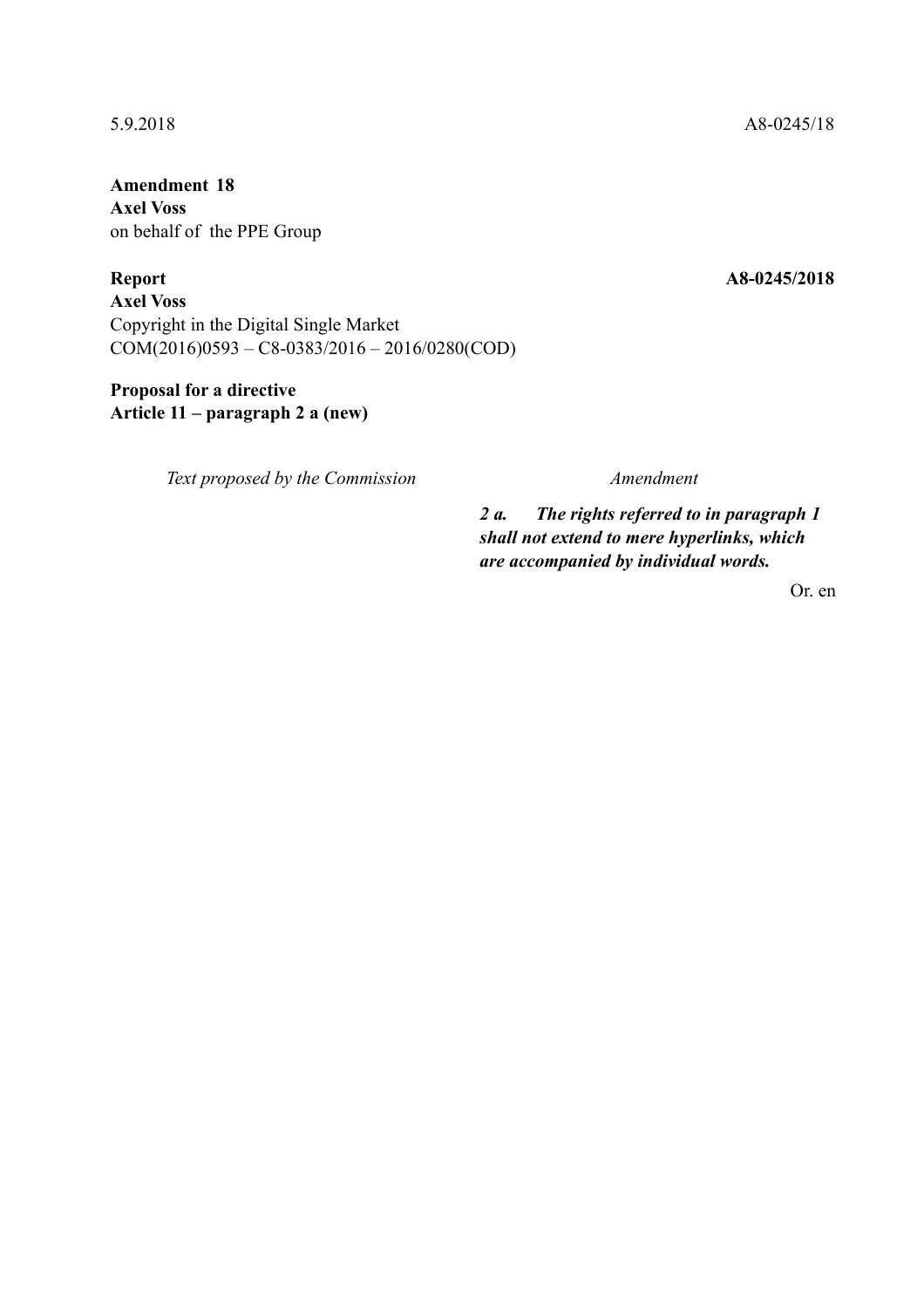**Amendment 18 Axel Voss**  on behalf of the PPE Group

**Report A8-0245/2018 Axel Voss**  Copyright in the Digital Single Market COM(2016)0593 – C8-0383/2016 – 2016/0280(COD)

# **Proposal for a directive Article 11 – paragraph 2 a (new)**

*Text proposed by the Commission Amendment*

*2 a. The rights referred to in paragraph 1 shall not extend to mere hyperlinks, which are accompanied by individual words.*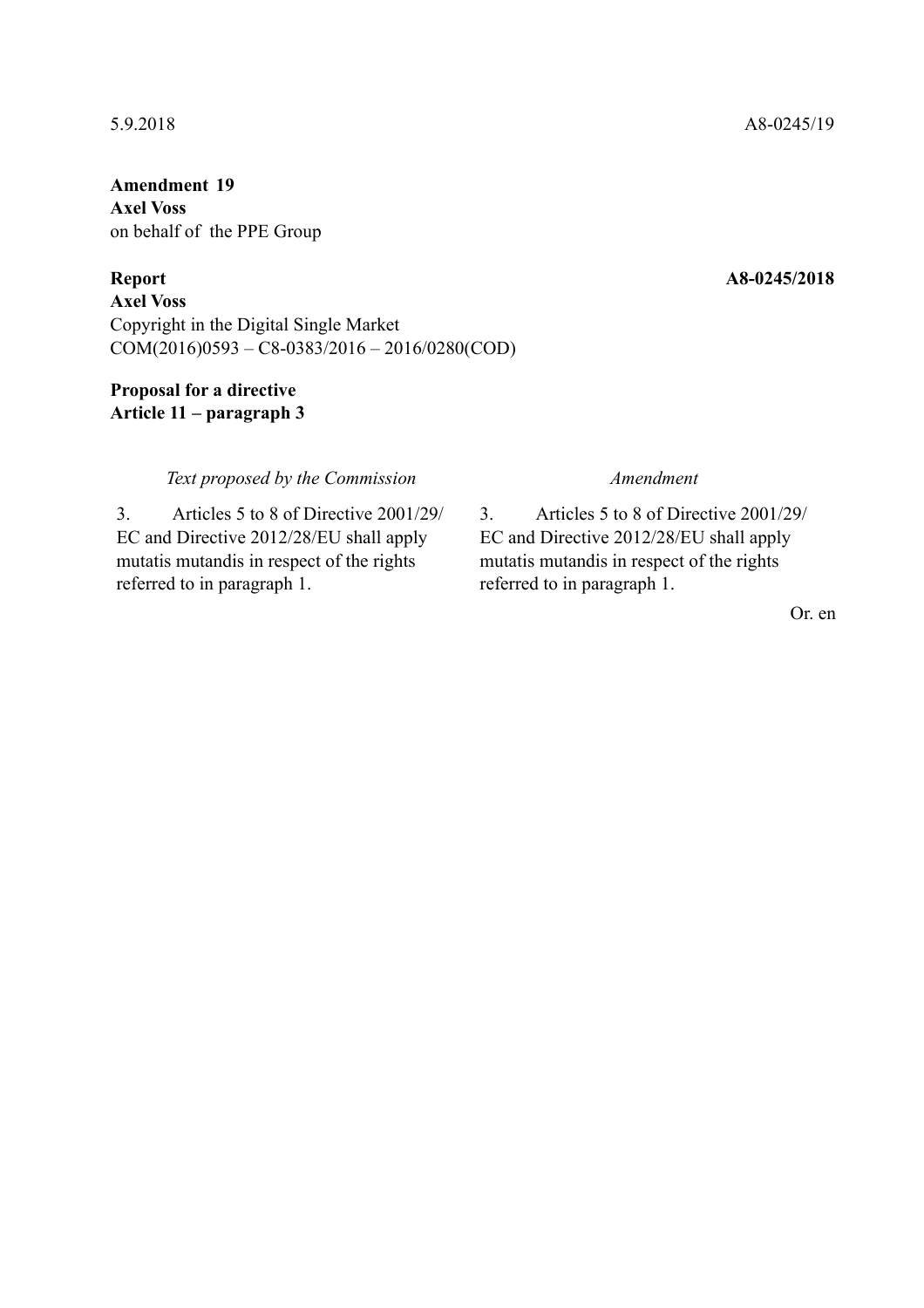# **Amendment 19 Axel Voss**  on behalf of the PPE Group

**Axel Voss**  Copyright in the Digital Single Market COM(2016)0593 – C8-0383/2016 – 2016/0280(COD)

# **Proposal for a directive Article 11 – paragraph 3**

### *Text proposed by the Commission Amendment*

3. Articles 5 to 8 of Directive 2001/29/ EC and Directive 2012/28/EU shall apply mutatis mutandis in respect of the rights referred to in paragraph 1.

3. Articles 5 to 8 of Directive 2001/29/ EC and Directive 2012/28/EU shall apply mutatis mutandis in respect of the rights referred to in paragraph 1.

Or. en

### 5.9.2018 A8-0245/19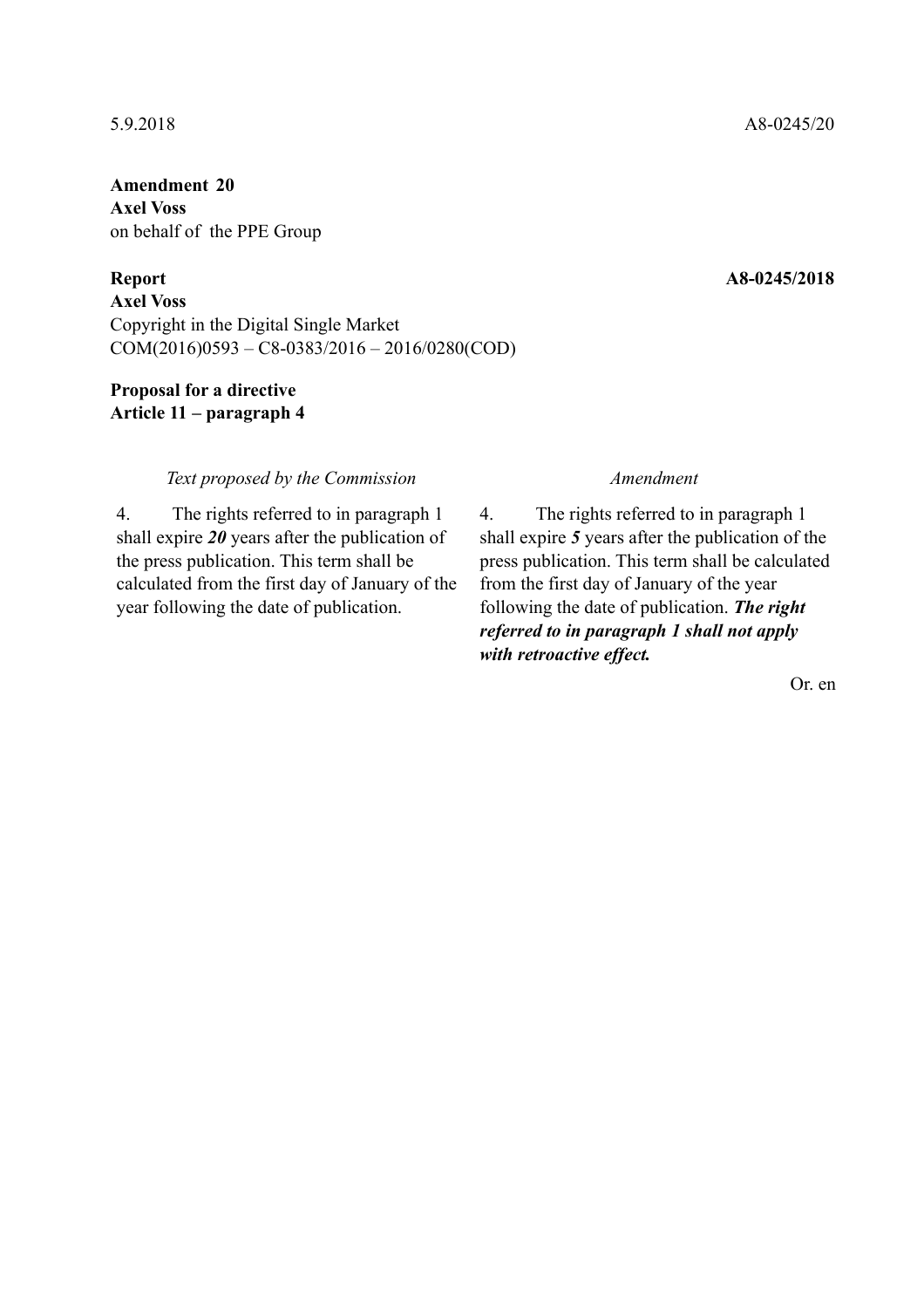# **Amendment 20 Axel Voss**  on behalf of the PPE Group

**Axel Voss**  Copyright in the Digital Single Market COM(2016)0593 – C8-0383/2016 – 2016/0280(COD)

# **Proposal for a directive Article 11 – paragraph 4**

### *Text proposed by the Commission Amendment*

4. The rights referred to in paragraph 1 shall expire *20* years after the publication of the press publication. This term shall be calculated from the first day of January of the year following the date of publication.

4. The rights referred to in paragraph 1 shall expire *5* years after the publication of the press publication. This term shall be calculated from the first day of January of the year following the date of publication. *The right referred to in paragraph 1 shall not apply with retroactive effect.*

Or. en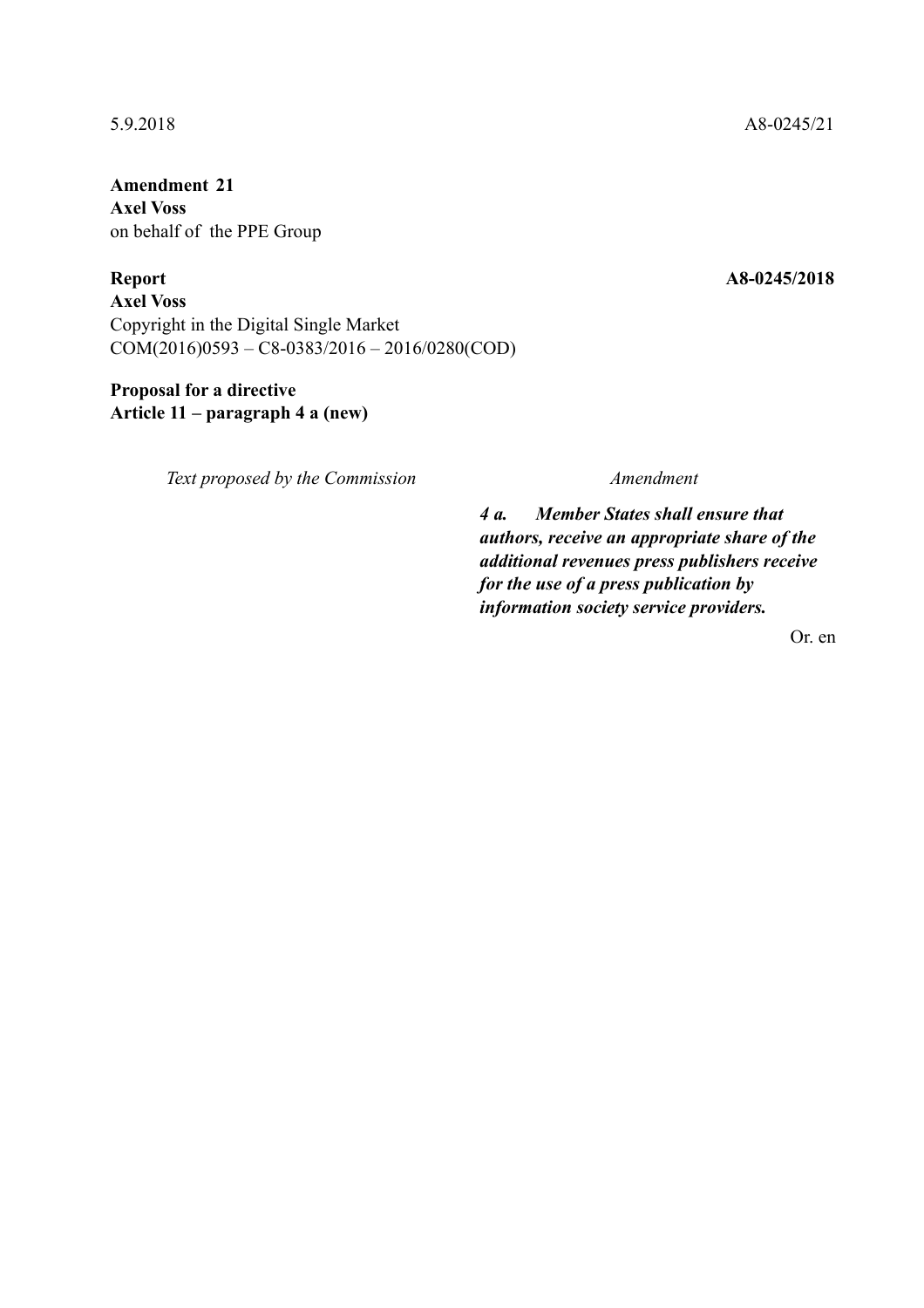**Amendment 21 Axel Voss**  on behalf of the PPE Group

**Report A8-0245/2018** 

**Axel Voss**  Copyright in the Digital Single Market COM(2016)0593 – C8-0383/2016 – 2016/0280(COD)

# **Proposal for a directive Article 11 – paragraph 4 a (new)**

*Text proposed by the Commission Amendment*

*4 a. Member States shall ensure that authors, receive an appropriate share of the additional revenues press publishers receive for the use of a press publication by information society service providers.*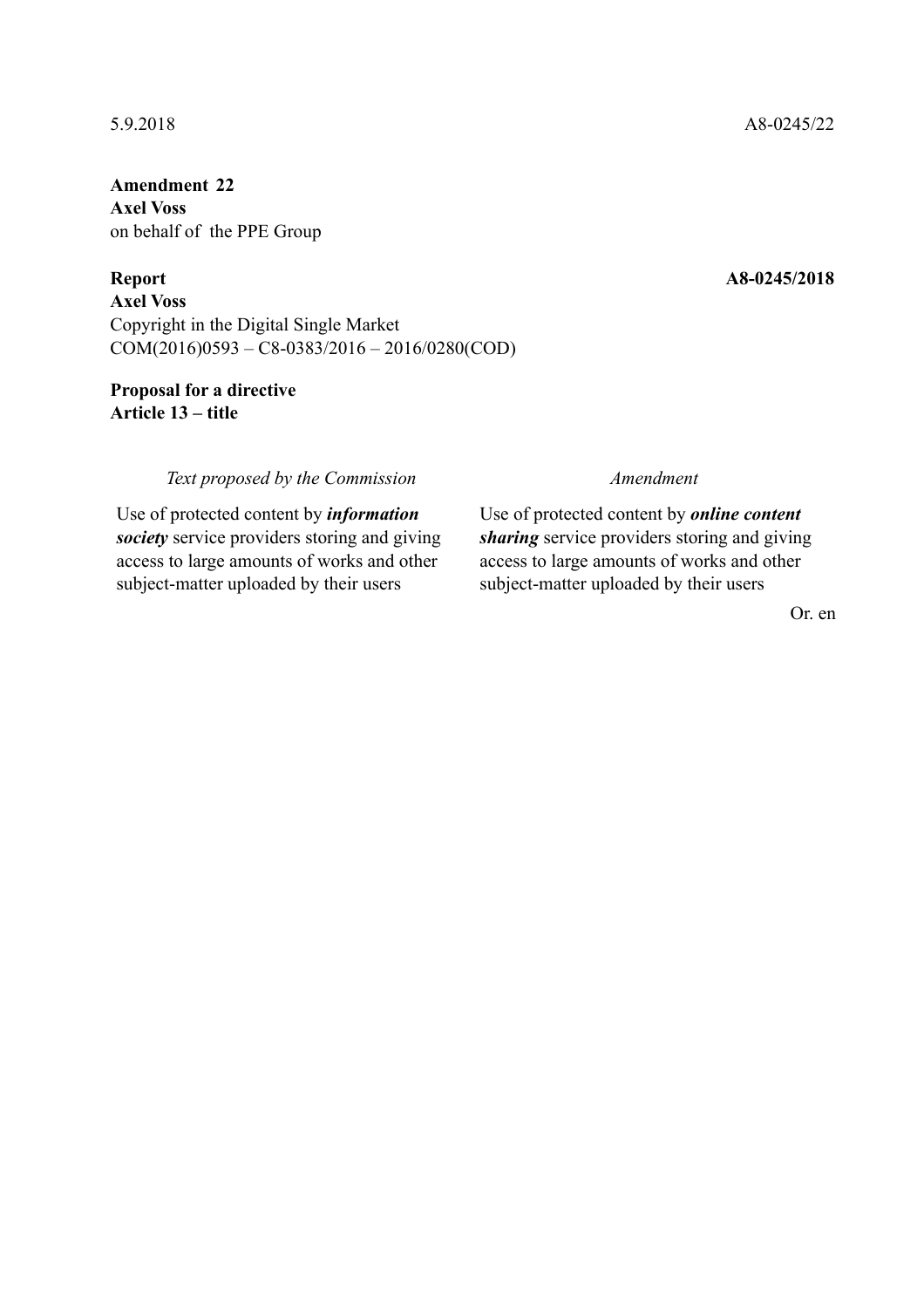**Amendment 22 Axel Voss**  on behalf of the PPE Group

**Axel Voss**  Copyright in the Digital Single Market COM(2016)0593 – C8-0383/2016 – 2016/0280(COD)

# **Proposal for a directive Article 13 – title**

### *Text proposed by the Commission Amendment*

Use of protected content by *information society* service providers storing and giving access to large amounts of works and other subject-matter uploaded by their users

Use of protected content by *online content sharing* service providers storing and giving access to large amounts of works and other subject-matter uploaded by their users

Or. en

### 5.9.2018 A8-0245/22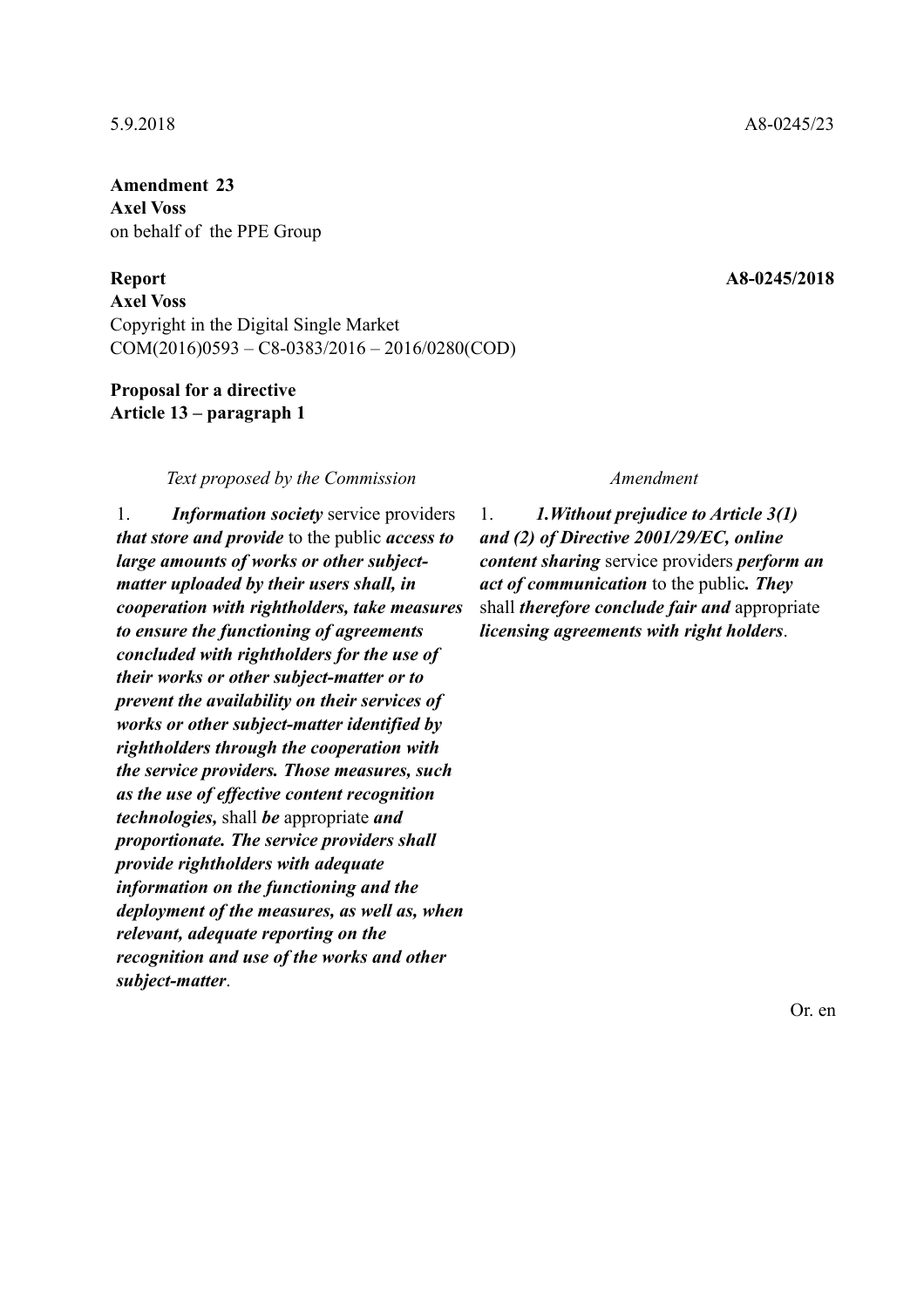**Amendment 23 Axel Voss**  on behalf of the PPE Group

**Axel Voss**  Copyright in the Digital Single Market COM(2016)0593 – C8-0383/2016 – 2016/0280(COD)

### **Proposal for a directive Article 13 – paragraph 1**

### *Text proposed by the Commission Amendment*

1. *Information society* service providers *that store and provide* to the public *access to large amounts of works or other subjectmatter uploaded by their users shall, in cooperation with rightholders, take measures to ensure the functioning of agreements concluded with rightholders for the use of their works or other subject-matter or to prevent the availability on their services of works or other subject-matter identified by rightholders through the cooperation with the service providers. Those measures, such as the use of effective content recognition technologies,* shall *be* appropriate *and proportionate. The service providers shall provide rightholders with adequate information on the functioning and the deployment of the measures, as well as, when relevant, adequate reporting on the recognition and use of the works and other subject-matter*.

1. *1.Without prejudice to Article 3(1) and (2) of Directive 2001/29/EC, online content sharing* service providers *perform an act of communication* to the public*. They* shall *therefore conclude fair and* appropriate *licensing agreements with right holders*.

Or. en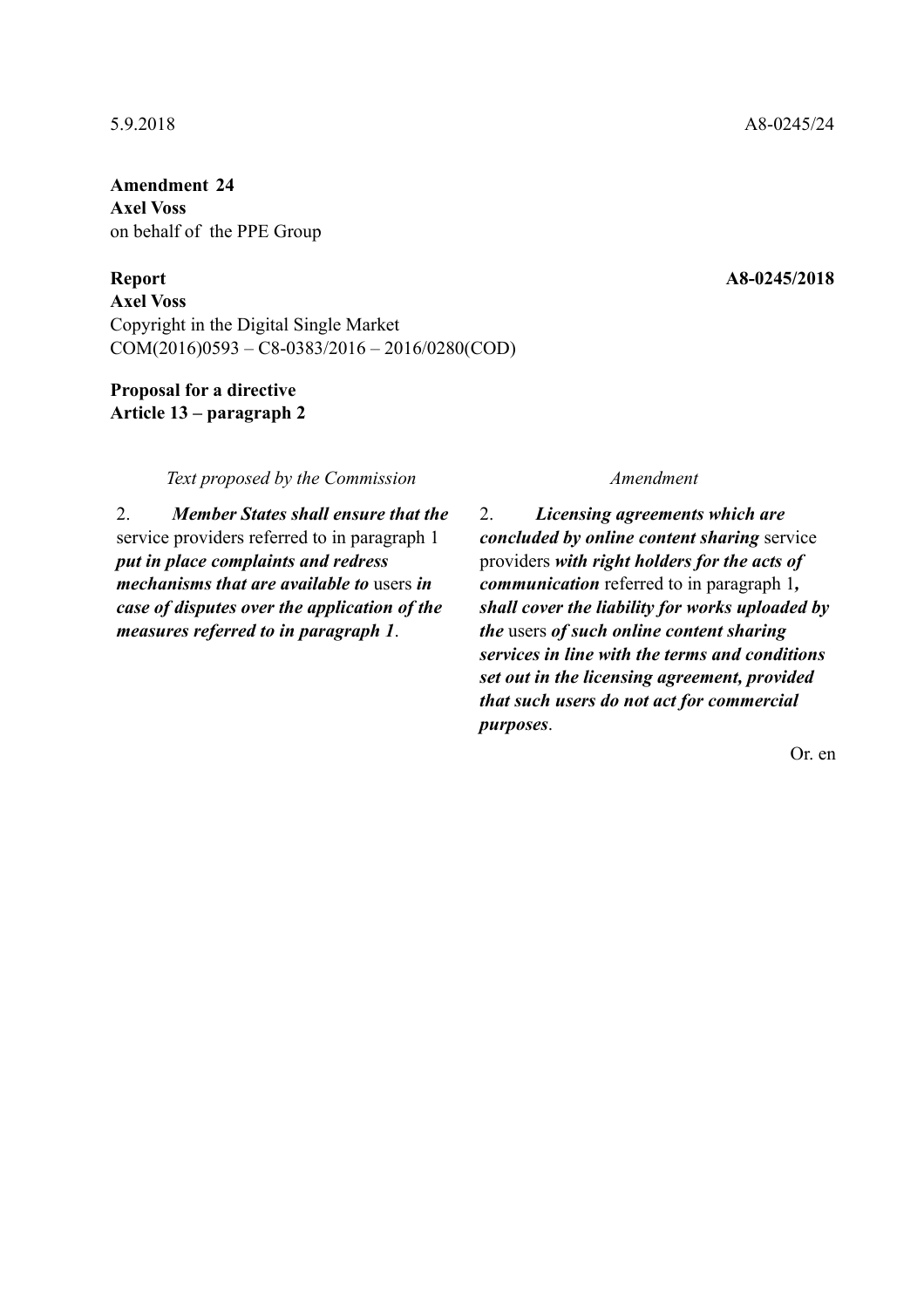**Amendment 24 Axel Voss**  on behalf of the PPE Group

**Axel Voss**  Copyright in the Digital Single Market COM(2016)0593 – C8-0383/2016 – 2016/0280(COD)

### **Proposal for a directive Article 13 – paragraph 2**

*Text proposed by the Commission Amendment*

2. *Member States shall ensure that the* service providers referred to in paragraph 1 *put in place complaints and redress mechanisms that are available to* users *in case of disputes over the application of the measures referred to in paragraph 1*.

2. *Licensing agreements which are concluded by online content sharing* service providers *with right holders for the acts of communication* referred to in paragraph 1*, shall cover the liability for works uploaded by the* users *of such online content sharing services in line with the terms and conditions set out in the licensing agreement, provided that such users do not act for commercial purposes*.

Or. en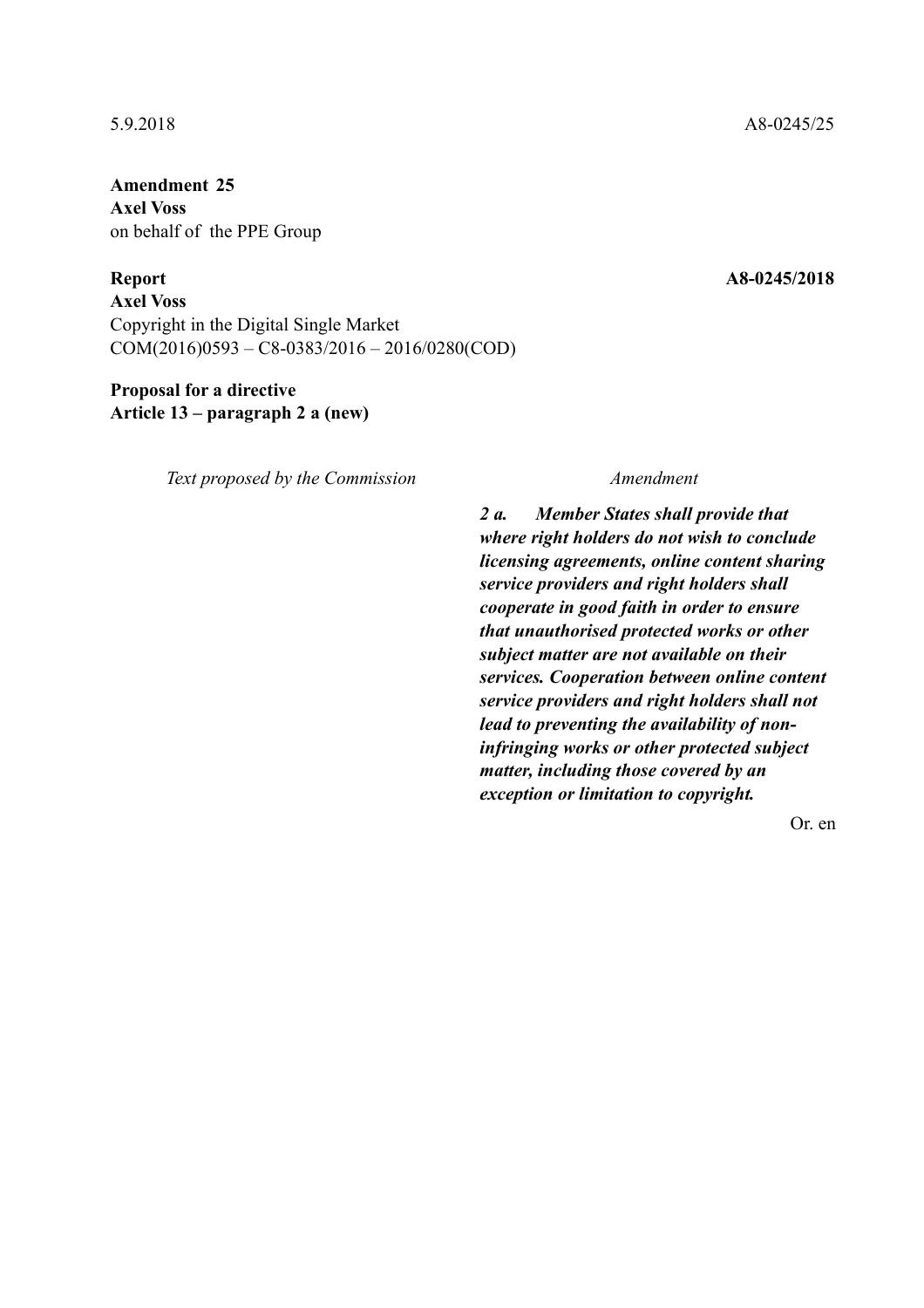**Amendment 25 Axel Voss**  on behalf of the PPE Group

**Axel Voss**  Copyright in the Digital Single Market COM(2016)0593 – C8-0383/2016 – 2016/0280(COD)

# **Proposal for a directive Article 13 – paragraph 2 a (new)**

*Text proposed by the Commission Amendment*

*2 a. Member States shall provide that where right holders do not wish to conclude licensing agreements, online content sharing service providers and right holders shall cooperate in good faith in order to ensure that unauthorised protected works or other subject matter are not available on their services. Cooperation between online content service providers and right holders shall not lead to preventing the availability of noninfringing works or other protected subject matter, including those covered by an exception or limitation to copyright.*

Or. en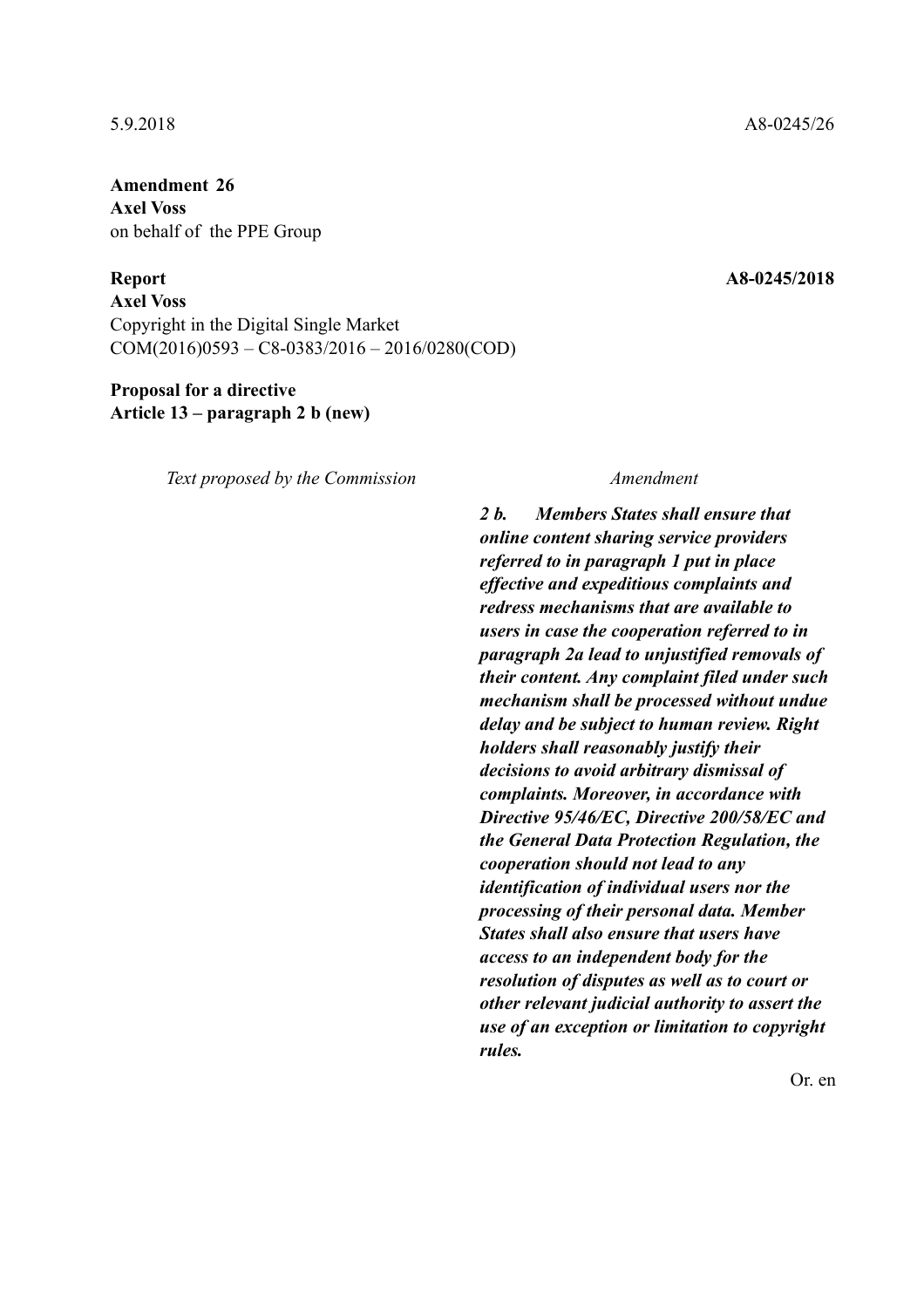**Amendment 26 Axel Voss**  on behalf of the PPE Group

**Axel Voss**  Copyright in the Digital Single Market COM(2016)0593 – C8-0383/2016 – 2016/0280(COD)

# **Proposal for a directive Article 13 – paragraph 2 b (new)**

*Text proposed by the Commission Amendment*

*2 b. Members States shall ensure that online content sharing service providers referred to in paragraph 1 put in place effective and expeditious complaints and redress mechanisms that are available to users in case the cooperation referred to in paragraph 2a lead to unjustified removals of their content. Any complaint filed under such mechanism shall be processed without undue delay and be subject to human review. Right holders shall reasonably justify their decisions to avoid arbitrary dismissal of complaints. Moreover, in accordance with Directive 95/46/EC, Directive 200/58/EC and the General Data Protection Regulation, the cooperation should not lead to any identification of individual users nor the processing of their personal data. Member States shall also ensure that users have access to an independent body for the resolution of disputes as well as to court or other relevant judicial authority to assert the use of an exception or limitation to copyright rules.*

Or. en